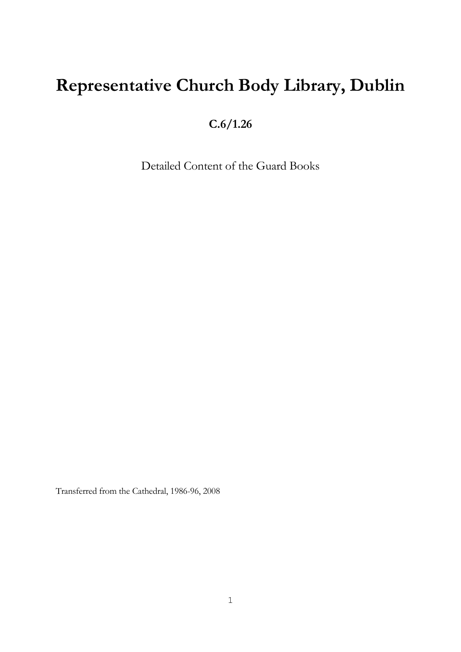## **Representative Church Body Library, Dublin**

**C.6/1.26**

Detailed Content of the Guard Books

Transferred from the Cathedral, 1986-96, 2008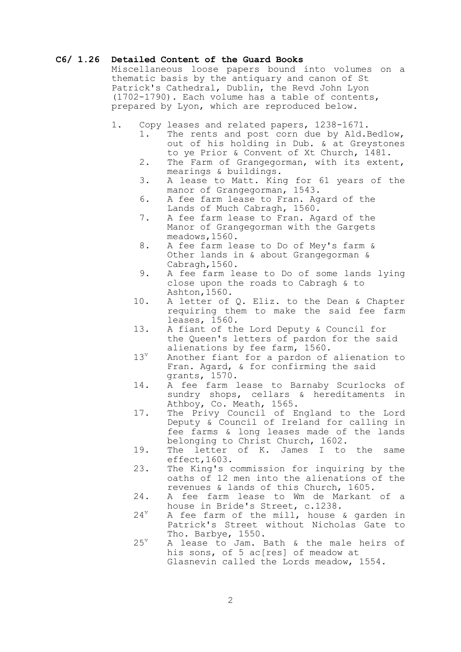## **C6/ 1.26 Detailed Content of the Guard Books**

Miscellaneous loose papers bound into volumes on a thematic basis by the antiquary and canon of St Patrick's Cathedral, Dublin, the Revd John Lyon (1702-1790). Each volume has a table of contents, prepared by Lyon, which are reproduced below.

- 1. Copy leases and related papers, 1238-1671.
	- 1. The rents and post corn due by Ald.Bedlow, out of his holding in Dub. & at Greystones to ye Prior & Convent of Xt Church, 1481.
	- 2. The Farm of Grangegorman, with its extent, mearings & buildings.
	- 3. A lease to Matt. King for 61 years of the manor of Grangegorman, 1543.
	- 6. A fee farm lease to Fran. Agard of the Lands of Much Cabragh, 1560.
	- 7. A fee farm lease to Fran. Agard of the Manor of Grangegorman with the Gargets meadows,1560.
	- 8. A fee farm lease to Do of Mey's farm & Other lands in & about Grangegorman & Cabragh,1560.
	- 9. A fee farm lease to Do of some lands lying close upon the roads to Cabragh & to Ashton,1560.
	- 10. A letter of Q. Eliz. to the Dean & Chapter requiring them to make the said fee farm leases, 1560.
	- 13. A fiant of the Lord Deputy & Council for the Queen's letters of pardon for the said alienations by fee farm, 1560.
	- 13<sup>v</sup> Another fiant for a pardon of alienation to Fran. Agard, & for confirming the said grants, 1570.
	- 14. A fee farm lease to Barnaby Scurlocks of sundry shops, cellars & hereditaments in Athboy, Co. Meath, 1565.
- 17. The Privy Council of England to the Lord Deputy & Council of Ireland for calling in fee farms & long leases made of the lands belonging to Christ Church, 1602.
	- 19. The letter of K. James I to the same effect,1603.
	- 23. The King's commission for inquiring by the oaths of 12 men into the alienations of the revenues & lands of this Church, 1605.
	- 24. A fee farm lease to Wm de Markant of a house in Bride's Street, c.1238.
	- $24^{\nu}$  A fee farm of the mill, house & garden in Patrick's Street without Nicholas Gate to Tho. Barbye, 1550.
	- $25^{\circ}$  A lease to Jam. Bath & the male heirs of his sons, of 5 ac[res] of meadow at Glasnevin called the Lords meadow, 1554.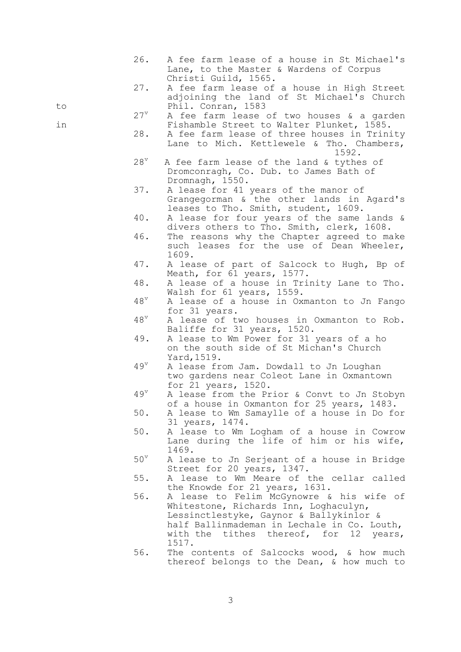| 26.               | A fee farm lease of a house in St Michael's<br>Lane, to the Master & Wardens of Corpus<br>Christi Guild, 1565.                                                                                                                 |
|-------------------|--------------------------------------------------------------------------------------------------------------------------------------------------------------------------------------------------------------------------------|
| 27.<br>to         | A fee farm lease of a house in High Street<br>adjoining the land of St Michael's Church<br>Phil. Conran, 1583                                                                                                                  |
|                   | $27^{\rm v}$<br>A fee farm lease of two houses & a garden                                                                                                                                                                      |
| in<br>28.         | Fishamble Street to Walter Plunket, 1585.<br>A fee farm lease of three houses in Trinity<br>Lane to Mich. Kettlewele & Tho. Chambers,<br>1592.                                                                                 |
| $28^v$            | A fee farm lease of the land & tythes of<br>Dromconragh, Co. Dub. to James Bath of<br>Dromnagh, 1550.                                                                                                                          |
| 37.               | A lease for 41 years of the manor of<br>Grangegorman & the other lands in Agard's<br>leases to Tho. Smith, student, 1609.                                                                                                      |
| 40.               | A lease for four years of the same lands &<br>divers others to Tho. Smith, clerk, 1608.                                                                                                                                        |
| 46.               | The reasons why the Chapter agreed to make<br>such leases for the use of Dean Wheeler,<br>1609.                                                                                                                                |
| 47.               | A lease of part of Salcock to Hugh, Bp of<br>Meath, for 61 years, 1577.                                                                                                                                                        |
| 48.               | A lease of a house in Trinity Lane to Tho.<br>Walsh for 61 years, 1559.                                                                                                                                                        |
| $48^{\mathrm{v}}$ | A lease of a house in Oxmanton to Jn Fango<br>for 31 years.                                                                                                                                                                    |
| $48^v$            | A lease of two houses in Oxmanton to Rob.<br>Baliffe for 31 years, 1520.                                                                                                                                                       |
| 49.               | A lease to Wm Power for 31 years of a ho<br>on the south side of St Michan's Church<br>Yard, 1519.                                                                                                                             |
| $49^{\mathrm{v}}$ | A lease from Jam. Dowdall to Jn Loughan<br>two gardens near Coleot Lane in Oxmantown<br>for 21 years, 1520.                                                                                                                    |
| $49^v$            | A lease from the Prior & Convt to Jn Stobyn<br>of a house in Oxmanton for 25 years, 1483.                                                                                                                                      |
| 50.               | A lease to Wm Samaylle of a house in Do for<br>31 years, 1474.                                                                                                                                                                 |
| 50.               | A lease to Wm Logham of a house in Cowrow<br>Lane during the life of him or his wife,<br>1469.                                                                                                                                 |
| $50^{\circ}$      | A lease to Jn Serjeant of a house in Bridge<br>Street for 20 years, 1347.                                                                                                                                                      |
| 55.               | A lease to Wm Meare of the cellar called<br>the Knowde for 21 years, 1631.                                                                                                                                                     |
| 56.               | A lease to Felim McGynowre & his wife of<br>Whitestone, Richards Inn, Loghaculyn,<br>Lessinctlestyke, Gaynor & Ballykinlor &<br>half Ballinmademan in Lechale in Co. Louth,<br>with the tithes thereof, for 12 years,<br>1517. |
| 56.               | The contents of Salcocks wood, & how much<br>thereof belongs to the Dean, & how much to                                                                                                                                        |

3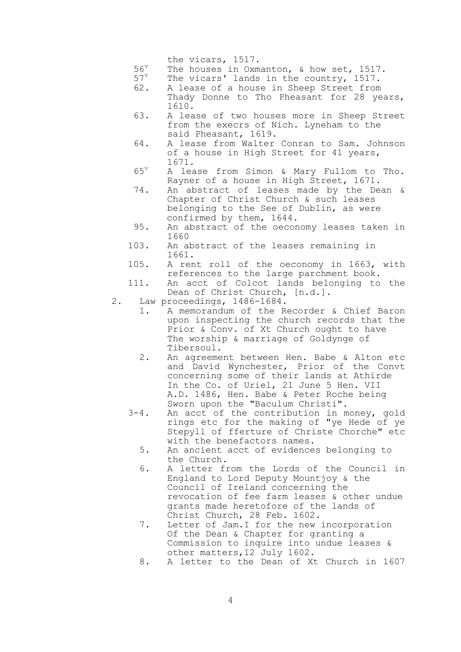the vicars, 1517.

- $56^v$  The houses in Oxmanton, & how set, 1517.<br> $57^v$  The vicars' lands in the country. 1517.
- The vicars' lands in the country, 1517.
- 62. A lease of a house in Sheep Street from Thady Donne to Tho Pheasant for 28 years, 1610.
- 63. A lease of two houses more in Sheep Street from the execrs of Nich. Lyneham to the said Pheasant, 1619.
- 64. A lease from Walter Conran to Sam. Johnson of a house in High Street for 41 years, 1671.
- $65^{\mathrm{v}}$  A lease from Simon & Mary Fullom to Tho. Rayner of a house in High Street, 1671.
- 74. An abstract of leases made by the Dean & Chapter of Christ Church & such leases belonging to the See of Dublin, as were confirmed by them, 1644.
- 95. An abstract of the oeconomy leases taken in 1660
- 103. An abstract of the leases remaining in 1661.
- 105. A rent roll of the oeconomy in 1663, with references to the large parchment book.
- 111. An acct of Colcot lands belonging to the Dean of Christ Church, [n.d.].
- 2. Law proceedings, 1486-1684.
	- 1. A memorandum of the Recorder & Chief Baron upon inspecting the church records that the Prior & Conv. of Xt Church ought to have The worship & marriage of Goldynge of Tibersoul.
	- 2. An agreement between Hen. Babe & Alton etc and David Wynchester, Prior of the Convt concerning some of their lands at Athirde In the Co. of Uriel, 21 June 5 Hen. VII A.D. 1486, Hen. Babe & Peter Roche being Sworn upon the "Baculum Christi".
- 3-4. An acct of the contribution in money, gold rings etc for the making of "ye Hede of ye Stepyll of fferture of Christe Chorche" etc with the benefactors names.
	- 5. An ancient acct of evidences belonging to the Church.
	- 6. A letter from the Lords of the Council in England to Lord Deputy Mountjoy & the Council of Ireland concerning the revocation of fee farm leases & other undue grants made heretofore of the lands of Christ Church, 28 Feb. 1602.
	- 7. Letter of Jam.I for the new incorporation Of the Dean & Chapter for granting a Commission to inquire into undue leases & other matters,12 July 1602.
	- 8. A letter to the Dean of Xt Church in 1607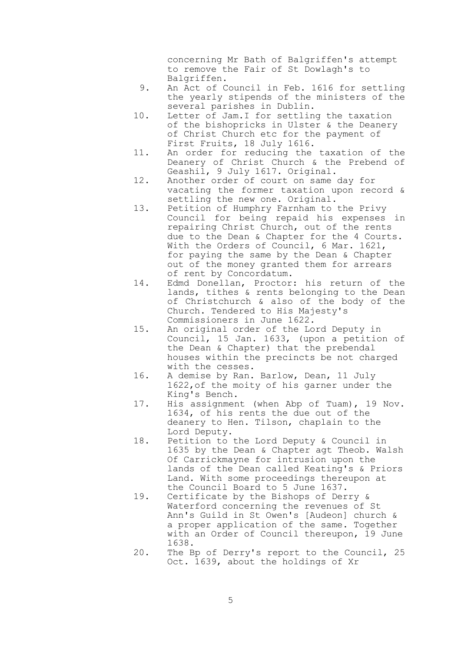concerning Mr Bath of Balgriffen's attempt to remove the Fair of St Dowlagh's to Balgriffen.

- 9. An Act of Council in Feb. 1616 for settling the yearly stipends of the ministers of the several parishes in Dublin.
- 10. Letter of Jam.I for settling the taxation of the bishopricks in Ulster & the Deanery of Christ Church etc for the payment of First Fruits, 18 July 1616.
- 11. An order for reducing the taxation of the Deanery of Christ Church & the Prebend of Geashil, 9 July 1617. Original.
- 12. Another order of court on same day for vacating the former taxation upon record & settling the new one. Original.
- 13. Petition of Humphry Farnham to the Privy Council for being repaid his expenses in repairing Christ Church, out of the rents due to the Dean & Chapter for the 4 Courts. With the Orders of Council, 6 Mar. 1621, for paying the same by the Dean & Chapter out of the money granted them for arrears of rent by Concordatum.
- 14. Edmd Donellan, Proctor: his return of the lands, tithes & rents belonging to the Dean of Christchurch & also of the body of the Church. Tendered to His Majesty's Commissioners in June 1622.
- 15. An original order of the Lord Deputy in Council, 15 Jan. 1633, (upon a petition of the Dean & Chapter) that the prebendal houses within the precincts be not charged with the cesses.
- 16. A demise by Ran. Barlow, Dean, 11 July 1622,of the moity of his garner under the King's Bench.
- 17. His assignment (when Abp of Tuam), 19 Nov. 1634, of his rents the due out of the deanery to Hen. Tilson, chaplain to the Lord Deputy.
- 18. Petition to the Lord Deputy & Council in 1635 by the Dean & Chapter agt Theob. Walsh Of Carrickmayne for intrusion upon the lands of the Dean called Keating's & Priors Land. With some proceedings thereupon at the Council Board to 5 June 1637.
- 19. Certificate by the Bishops of Derry & Waterford concerning the revenues of St Ann's Guild in St Owen's [Audeon] church & a proper application of the same. Together with an Order of Council thereupon, 19 June 1638.
- 20. The Bp of Derry's report to the Council, 25 Oct. 1639, about the holdings of Xr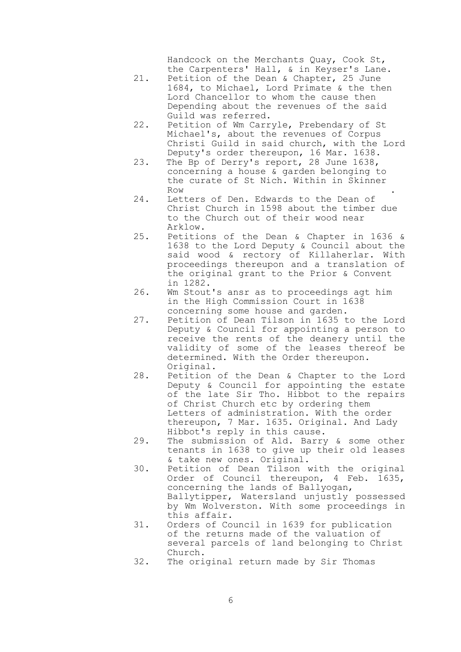Handcock on the Merchants Quay, Cook St, the Carpenters' Hall, & in Keyser's Lane.

- 21. Petition of the Dean & Chapter, 25 June 1684, to Michael, Lord Primate & the then Lord Chancellor to whom the cause then Depending about the revenues of the said Guild was referred.
- 22. Petition of Wm Carryle, Prebendary of St Michael's, about the revenues of Corpus Christi Guild in said church, with the Lord Deputy's order thereupon, 16 Mar. 1638.
- 23. The Bp of Derry's report, 28 June 1638, concerning a house & garden belonging to the curate of St Nich. Within in Skinner Row the contract of the contract of the contract of the contract of the contract of the contract of the contract of the contract of the contract of the contract of the contract of the contract of the contract of the contra
- 24. Letters of Den. Edwards to the Dean of Christ Church in 1598 about the timber due to the Church out of their wood near Arklow.
- 25. Petitions of the Dean & Chapter in 1636 & 1638 to the Lord Deputy & Council about the said wood & rectory of Killaherlar. With proceedings thereupon and a translation of the original grant to the Prior & Convent in 1282.
- 26. Wm Stout's ansr as to proceedings agt him in the High Commission Court in 1638 concerning some house and garden.
- 27. Petition of Dean Tilson in 1635 to the Lord Deputy & Council for appointing a person to receive the rents of the deanery until the validity of some of the leases thereof be determined. With the Order thereupon. Original.
- 28. Petition of the Dean & Chapter to the Lord Deputy & Council for appointing the estate of the late Sir Tho. Hibbot to the repairs of Christ Church etc by ordering them Letters of administration. With the order thereupon, 7 Mar. 1635. Original. And Lady Hibbot's reply in this cause.
- 29. The submission of Ald. Barry & some other tenants in 1638 to give up their old leases & take new ones. Original.
- 30. Petition of Dean Tilson with the original Order of Council thereupon, 4 Feb. 1635, concerning the lands of Ballyogan, Ballytipper, Watersland unjustly possessed by Wm Wolverston. With some proceedings in this affair.
	- 31. Orders of Council in 1639 for publication of the returns made of the valuation of several parcels of land belonging to Christ Church.
	- 32. The original return made by Sir Thomas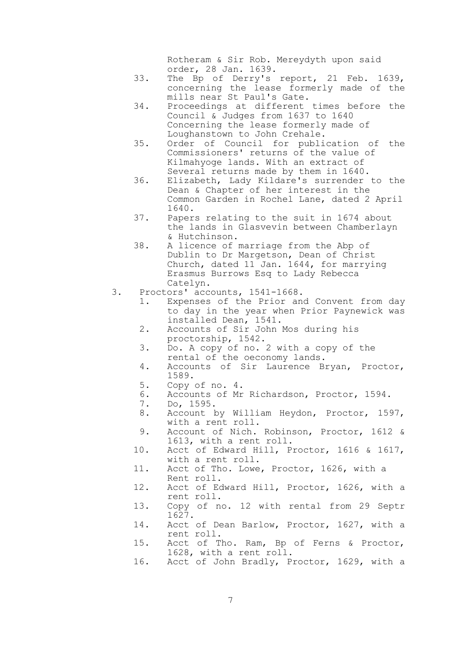Rotheram & Sir Rob. Mereydyth upon said order, 28 Jan. 1639.

- 33. The Bp of Derry's report, 21 Feb. 1639, concerning the lease formerly made of the mills near St Paul's Gate.
- 34. Proceedings at different times before the Council & Judges from 1637 to 1640 Concerning the lease formerly made of Loughanstown to John Crehale.
- 35. Order of Council for publication of the Commissioners' returns of the value of Kilmahyoge lands. With an extract of Several returns made by them in 1640.
- 36. Elizabeth, Lady Kildare's surrender to the Dean & Chapter of her interest in the Common Garden in Rochel Lane, dated 2 April 1640.
- 37. Papers relating to the suit in 1674 about the lands in Glasvevin between Chamberlayn & Hutchinson.
- 38. A licence of marriage from the Abp of Dublin to Dr Margetson, Dean of Christ Church, dated 11 Jan. 1644, for marrying Erasmus Burrows Esq to Lady Rebecca Catelyn.
- 3. Proctors' accounts, 1541-1668.
	- 1. Expenses of the Prior and Convent from day to day in the year when Prior Paynewick was installed Dean, 1541.
	- 2. Accounts of Sir John Mos during his proctorship, 1542.
	- 3. Do. A copy of no. 2 with a copy of the rental of the oeconomy lands.
	- 4. Accounts of Sir Laurence Bryan, Proctor, 1589.
	- 5. Copy of no. 4.
	- 6. Accounts of Mr Richardson, Proctor, 1594.<br>7. Do. 1595.
	- 7. Do, 1595.
	- 8. Account by William Heydon, Proctor, 1597, with a rent roll.
	- 9. Account of Nich. Robinson, Proctor, 1612 & 1613, with a rent roll.
	- 10. Acct of Edward Hill, Proctor, 1616 & 1617, with a rent roll.
	- 11. Acct of Tho. Lowe, Proctor, 1626, with a Rent roll.
	- 12. Acct of Edward Hill, Proctor, 1626, with a rent roll.
	- 13. Copy of no. 12 with rental from 29 Septr 1627.
	- 14. Acct of Dean Barlow, Proctor, 1627, with a rent roll.
	- 15. Acct of Tho. Ram, Bp of Ferns & Proctor, 1628, with a rent roll.
	- 16. Acct of John Bradly, Proctor, 1629, with a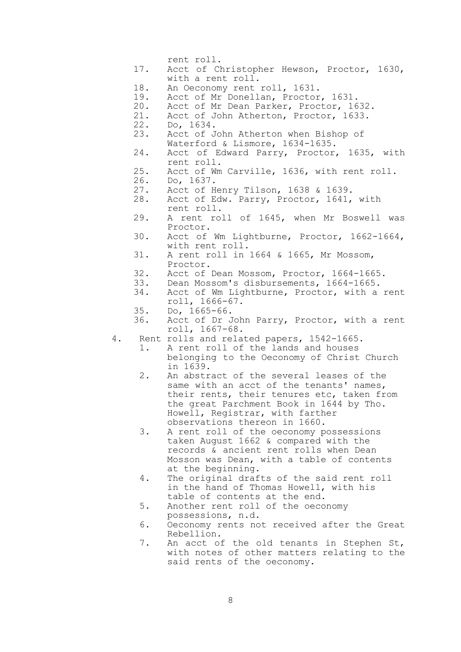- rent roll.
- 17. Acct of Christopher Hewson, Proctor, 1630, with a rent roll.
- 18. An Oeconomy rent roll, 1631.
- 19. Acct of Mr Donellan, Proctor, 1631.
- 20. Acct of Mr Dean Parker, Proctor, 1632.
- 21. Acct of John Atherton, Proctor, 1633.
- 22. Do, 1634.
- 23. Acct of John Atherton when Bishop of Waterford & Lismore, 1634-1635.
- 24. Acct of Edward Parry, Proctor, 1635, with rent roll.
- 25. Acct of Wm Carville, 1636, with rent roll.
- 26. Do, 1637.
- 27. Acct of Henry Tilson, 1638 & 1639.
- 28. Acct of Edw. Parry, Proctor, 1641, with rent roll.
- 29. A rent roll of 1645, when Mr Boswell was Proctor.
- 30. Acct of Wm Lightburne, Proctor, 1662-1664, with rent roll.
- 31. A rent roll in 1664 & 1665, Mr Mossom, Proctor.
- 32. Acct of Dean Mossom, Proctor, 1664-1665.
- 33. Dean Mossom's disbursements, 1664-1665.
- 34. Acct of Wm Lightburne, Proctor, with a rent roll, 1666-67.
- 35. Do, 1665-66.
- 36. Acct of Dr John Parry, Proctor, with a rent roll, 1667-68.
- 4. Rent rolls and related papers, 1542-1665.
	- 1. A rent roll of the lands and houses belonging to the Oeconomy of Christ Church in 1639.
	- 2. An abstract of the several leases of the same with an acct of the tenants' names, their rents, their tenures etc, taken from the great Parchment Book in 1644 by Tho. Howell, Registrar, with farther observations thereon in 1660.
	- 3. A rent roll of the oeconomy possessions taken August 1662 & compared with the records & ancient rent rolls when Dean Mosson was Dean, with a table of contents at the beginning.
	- 4. The original drafts of the said rent roll in the hand of Thomas Howell, with his table of contents at the end.
	- 5. Another rent roll of the oeconomy possessions, n.d.
	- 6. Oeconomy rents not received after the Great Rebellion.
	- 7. An acct of the old tenants in Stephen St, with notes of other matters relating to the said rents of the oeconomy.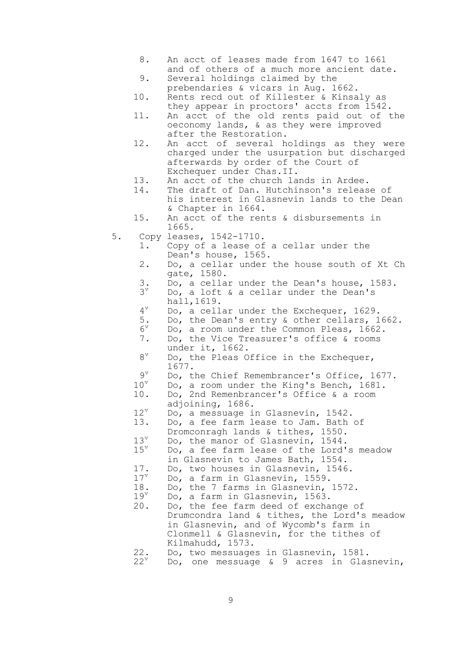- 8. An acct of leases made from 1647 to 1661 and of others of a much more ancient date.
- 9. Several holdings claimed by the prebendaries & vicars in Aug. 1662.
- 10. Rents recd out of Killester & Kinsaly as they appear in proctors' accts from 1542.
- 11. An acct of the old rents paid out of the oeconomy lands, & as they were improved after the Restoration.
- 12. An acct of several holdings as they were charged under the usurpation but discharged afterwards by order of the Court of Exchequer under Chas.II.
- 13. An acct of the church lands in Ardee.
- 14. The draft of Dan. Hutchinson's release of his interest in Glasnevin lands to the Dean & Chapter in 1664.
- 15. An acct of the rents & disbursements in 1665.
- 5. Copy leases, 1542-1710.
	- 1. Copy of a lease of a cellar under the Dean's house, 1565.
	- 2. Do, a cellar under the house south of Xt Ch gate, 1580.
	- 3. Do, a cellar under the Dean's house, 1583.
	- $3^{\nu}$ Do, a loft & a cellar under the Dean's hall,1619.
	- $4^v$ Do, a cellar under the Exchequer, 1629.
	- 5. Do, the Dean's entry & other cellars, 1662.
	- $6^{\mathrm{v}}$ Do, a room under the Common Pleas, 1662.
	- 7. Do, the Vice Treasurer's office & rooms under it, 1662.
	- $8^{\rm v}$ Do, the Pleas Office in the Exchequer, 1677.
	- $\frac{9^v}{10^v}$ Do, the Chief Remembrancer's Office, 1677.
	- $10^v$  Do, a room under the King's Bench, 1681.<br>10. Do, 2nd Remenbrancer's Office & a room 10. Do, 2nd Remenbrancer's Office & a room
		- adjoining, 1686.
	- $12^v$  Do, a messuage in Glasnevin, 1542.
	- 13. Do, a fee farm lease to Jam. Bath of
	- Dromconragh lands & tithes, 1550.
	- $13^v$  Do, the manor of Glasnevin, 1544.<br> $15^v$  Do, a fee farm lease of the Lord' Do, a fee farm lease of the Lord's meadow
		- in Glasnevin to James Bath, 1554.
	- 17. Do, two houses in Glasnevin, 1546.<br> $17^v$  Do, a farm in Glasnevin. 1559.
	- Do, a farm in Glasnevin, 1559.
	- 18. Do, the 7 farms in Glasnevin,  $1572$ .<br> $19^{\circ}$  Do, a farm in Glasnevin, 1563.
	- Do, a farm in Glasnevin, 1563.
	- 20. Do, the fee farm deed of exchange of Drumcondra land & tithes, the Lord's meadow in Glasnevin, and of Wycomb's farm in Clonmell & Glasnevin, for the tithes of Kilmahudd, 1573.
	- 22. Do, two messuages in Glasnevin, 1581.<br> $22^{\nu}$  Do, one messuage & 9 acres in Glas
	- Do, one messuage  $\&$  9 acres in Glasnevin,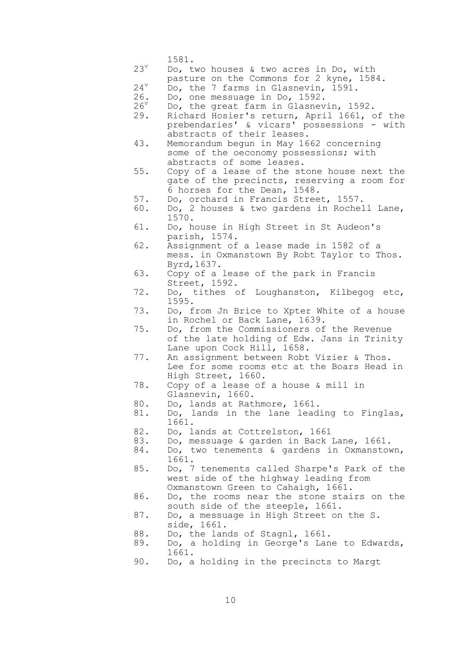1581.

- $23^v$  Do, two houses & two acres in Do, with
- pasture on the Commons for 2 kyne, 1584.  $24^{\nu}$  Do, the 7 farms in Glasnevin, 1591.

26. Do, one messuage in Do, 1592.

- $26^{\mathrm{v}}$  Do, the great farm in Glasnevin, 1592.
- 29. Richard Hosier's return, April 1661, of the prebendaries' & vicars' possessions - with abstracts of their leases.
- 43. Memorandum begun in May 1662 concerning some of the oeconomy possessions; with abstracts of some leases.
- 55. Copy of a lease of the stone house next the gate of the precincts, reserving a room for 6 horses for the Dean, 1548.
- 57. Do, orchard in Francis Street, 1557.
- 60. Do, 2 houses & two gardens in Rochell Lane, 1570.
- 61. Do, house in High Street in St Audeon's parish, 1574.
- 62. Assignment of a lease made in 1582 of a mess. in Oxmanstown By Robt Taylor to Thos. Byrd,1637.
- 63. Copy of a lease of the park in Francis Street, 1592.
- 72. Do, tithes of Loughanston, Kilbegog etc, 1595.
- 73. Do, from Jn Brice to Xpter White of a house in Rochel or Back Lane, 1639.
- 75. Do, from the Commissioners of the Revenue of the late holding of Edw. Jans in Trinity Lane upon Cock Hill, 1658.
- 77. An assignment between Robt Vizier & Thos. Lee for some rooms etc at the Boars Head in High Street, 1660.
- 78. Copy of a lease of a house & mill in Glasnevin, 1660.
- 80. Do, lands at Rathmore, 1661.
- 81. Do, lands in the lane leading to Finglas, 1661.
- 82. Do, lands at Cottrelston, 1661
- 83. Do, messuage & garden in Back Lane, 1661.
- 84. Do, two tenements & gardens in Oxmanstown, 1661.
- 85. Do, 7 tenements called Sharpe's Park of the west side of the highway leading from Oxmanstown Green to Cahaigh, 1661.
- 86. Do, the rooms near the stone stairs on the south side of the steeple, 1661.
- 87. Do, a messuage in High Street on the S. side, 1661.
- 88. Do, the lands of Stagnl, 1661.
- 89. Do, a holding in George's Lane to Edwards, 1661.
- 90. Do, a holding in the precincts to Margt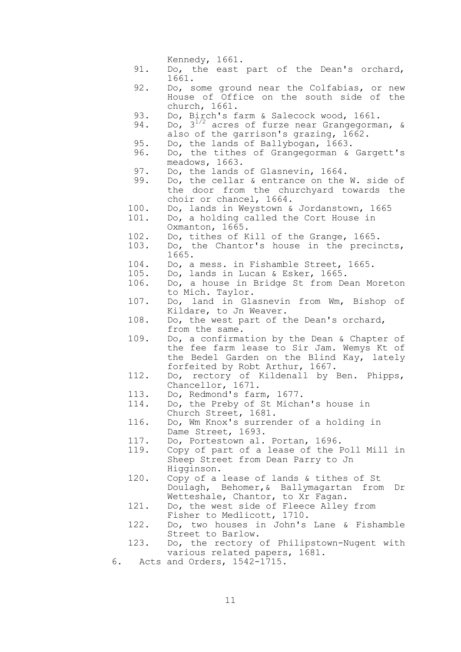|              | Kennedy, 1661.                                                                                                                                                            |
|--------------|---------------------------------------------------------------------------------------------------------------------------------------------------------------------------|
| 91.          | Do, the east part of the Dean's orchard,<br>1661.                                                                                                                         |
| 92.          | Do, some ground near the Colfabias, or<br>new<br>House of Office on the south side of the<br>church, 1661.                                                                |
| 93.          | Do, Birch's farm & Salecock wood, 1661.                                                                                                                                   |
| 94.          | Do, $3^{1/2}$ acres of furze near Grangegorman, &<br>also of the garrison's grazing, 1662.                                                                                |
| 95.          | Do, the lands of Ballybogan, 1663.                                                                                                                                        |
| 96.          | Do, the tithes of Grangegorman & Gargett's<br>meadows, 1663.                                                                                                              |
| 97.<br>99.   | Do, the lands of Glasnevin, 1664.<br>Do, the cellar & entrance on the W. side of<br>the door from the churchyard towards the<br>choir or chancel, 1664.                   |
| 100.<br>101. | Do, lands in Weystown & Jordanstown, 1665<br>Do, a holding called the Cort House in<br>Oxmanton, 1665.                                                                    |
| 102.         | Do, tithes of Kill of the Grange, 1665.                                                                                                                                   |
| 103.         | Do, the Chantor's house in the precincts,<br>1665.                                                                                                                        |
| 104.         | Do, a mess. in Fishamble Street, 1665.                                                                                                                                    |
| 105.         | Do, lands in Lucan & Esker, 1665.                                                                                                                                         |
| 106.         | Do, a house in Bridge St from Dean Moreton<br>to Mich. Taylor.                                                                                                            |
| 107.         | Do, land in Glasnevin from Wm, Bishop of<br>Kildare, to Jn Weaver.                                                                                                        |
| 108.         | Do, the west part of the Dean's orchard,<br>from the same.                                                                                                                |
| 109.         | Do, a confirmation by the Dean & Chapter of<br>the fee farm lease to Sir Jam. Wemys Kt of<br>the Bedel Garden on the Blind Kay, lately<br>forfeited by Robt Arthur, 1667. |
| 112.         | Do, rectory of Kildenall by Ben. Phipps,<br>Chancellor, 1671.                                                                                                             |
| 113.         | Do, Redmond's farm, 1677.                                                                                                                                                 |
| 114.         | Do, the Preby of St Michan's house in<br>Church Street, 1681.                                                                                                             |
| 116.         | Do, Wm Knox's surrender of a holding in<br>Dame Street, 1693.                                                                                                             |
| 117.         | Do, Portestown al. Portan, 1696.                                                                                                                                          |
| 119.         | Copy of part of a lease of the Poll Mill in<br>Sheep Street from Dean Parry to Jn<br>Higginson.                                                                           |
| 120.         | Copy of a lease of lands & tithes of St<br>Doulagh, Behomer, & Ballymagartan from Dr<br>Wetteshale, Chantor, to Xr Fagan.                                                 |
| 121.         | Do, the west side of Fleece Alley from<br>Fisher to Medlicott, 1710.                                                                                                      |
| 122.         | Do, two houses in John's Lane & Fishamble<br>Street to Barlow.                                                                                                            |
| 123.         | Do, the rectory of Philipstown-Nugent with<br>various related papers, 1681.                                                                                               |
|              | 6. Acts and Orders, 1542-1715.                                                                                                                                            |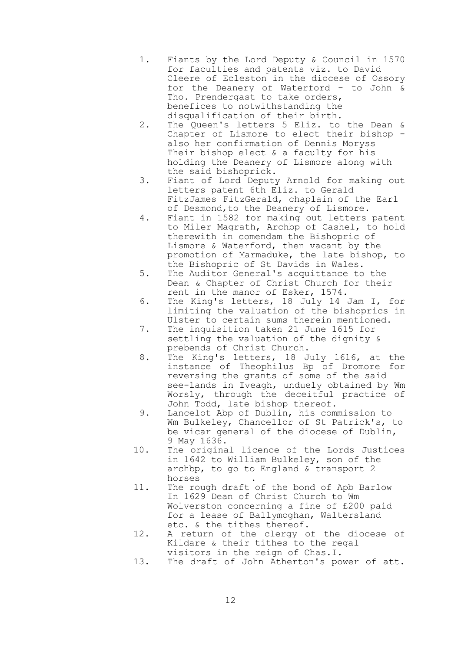- 1. Fiants by the Lord Deputy & Council in 1570 for faculties and patents viz. to David Cleere of Ecleston in the diocese of Ossory for the Deanery of Waterford - to John & Tho. Prendergast to take orders, benefices to notwithstanding the disqualification of their birth.
- 2. The Queen's letters 5 Eliz. to the Dean & Chapter of Lismore to elect their bishop also her confirmation of Dennis Moryss Their bishop elect & a faculty for his holding the Deanery of Lismore along with the said bishoprick.
- 3. Fiant of Lord Deputy Arnold for making out letters patent 6th Eliz. to Gerald FitzJames FitzGerald, chaplain of the Earl of Desmond,to the Deanery of Lismore.
- 4. Fiant in 1582 for making out letters patent to Miler Magrath, Archbp of Cashel, to hold therewith in comendam the Bishopric of Lismore & Waterford, then vacant by the promotion of Marmaduke, the late bishop, to the Bishopric of St Davids in Wales.
- 5. The Auditor General's acquittance to the Dean & Chapter of Christ Church for their rent in the manor of Esker, 1574.
- 6. The King's letters, 18 July 14 Jam I, for limiting the valuation of the bishoprics in Ulster to certain sums therein mentioned.
- 7. The inquisition taken 21 June 1615 for settling the valuation of the dignity & prebends of Christ Church.
- 8. The King's letters, 18 July 1616, at the instance of Theophilus Bp of Dromore for reversing the grants of some of the said see-lands in Iveagh, unduely obtained by Wm Worsly, through the deceitful practice of John Todd, late bishop thereof.
- 9. Lancelot Abp of Dublin, his commission to Wm Bulkeley, Chancellor of St Patrick's, to be vicar general of the diocese of Dublin, 9 May 1636.
- 10. The original licence of the Lords Justices in 1642 to William Bulkeley, son of the archbp, to go to England & transport 2 horses .
- 11. The rough draft of the bond of Apb Barlow In 1629 Dean of Christ Church to Wm Wolverston concerning a fine of £200 paid for a lease of Ballymoghan, Waltersland etc. & the tithes thereof.
- 12. A return of the clergy of the diocese of Kildare & their tithes to the regal visitors in the reign of Chas.I.
- 13. The draft of John Atherton's power of att.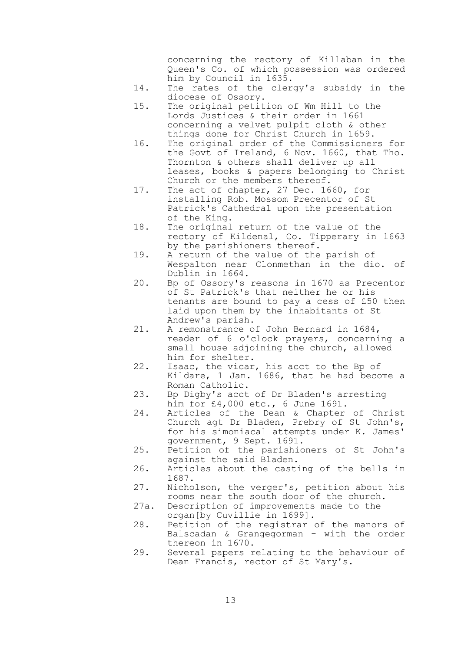concerning the rectory of Killaban in the Queen's Co. of which possession was ordered him by Council in 1635.

- 14. The rates of the clergy's subsidy in the diocese of Ossory.
- 15. The original petition of Wm Hill to the Lords Justices & their order in 1661 concerning a velvet pulpit cloth & other things done for Christ Church in 1659.
- 16. The original order of the Commissioners for the Govt of Ireland, 6 Nov. 1660, that Tho. Thornton & others shall deliver up all leases, books & papers belonging to Christ Church or the members thereof.
- 17. The act of chapter, 27 Dec. 1660, for installing Rob. Mossom Precentor of St Patrick's Cathedral upon the presentation of the King.
- 18. The original return of the value of the rectory of Kildenal, Co. Tipperary in 1663 by the parishioners thereof.
- 19. A return of the value of the parish of Wespalton near Clonmethan in the dio. of Dublin in 1664.
- 20. Bp of Ossory's reasons in 1670 as Precentor of St Patrick's that neither he or his tenants are bound to pay a cess of £50 then laid upon them by the inhabitants of St Andrew's parish.
- 21. A remonstrance of John Bernard in 1684, reader of 6 o'clock prayers, concerning a small house adjoining the church, allowed him for shelter.
- 22. Isaac, the vicar, his acct to the Bp of Kildare, 1 Jan. 1686, that he had become a Roman Catholic.
- 23. Bp Digby's acct of Dr Bladen's arresting him for £4,000 etc., 6 June 1691.
- 24. Articles of the Dean & Chapter of Christ Church agt Dr Bladen, Prebry of St John's, for his simoniacal attempts under K. James' government, 9 Sept. 1691.
- 25. Petition of the parishioners of St John's against the said Bladen.
- 26. Articles about the casting of the bells in 1687.
- 27. Nicholson, the verger's, petition about his rooms near the south door of the church.
- 27a. Description of improvements made to the organ[by Cuvillie in 1699].
- 28. Petition of the registrar of the manors of Balscadan & Grangegorman - with the order thereon in 1670.
- 29. Several papers relating to the behaviour of Dean Francis, rector of St Mary's.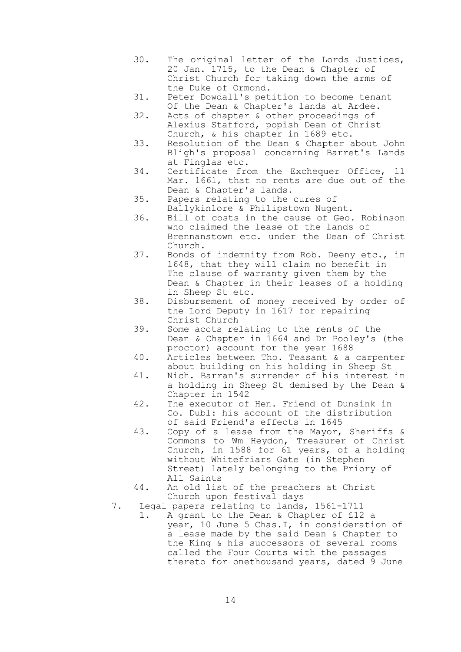- 30. The original letter of the Lords Justices, 20 Jan. 1715, to the Dean & Chapter of Christ Church for taking down the arms of the Duke of Ormond.
- 31. Peter Dowdall's petition to become tenant Of the Dean & Chapter's lands at Ardee.
- 32. Acts of chapter & other proceedings of Alexius Stafford, popish Dean of Christ Church, & his chapter in 1689 etc.
- 33. Resolution of the Dean & Chapter about John Bligh's proposal concerning Barret's Lands at Finglas etc.
- 34. Certificate from the Exchequer Office, 11 Mar. 1661, that no rents are due out of the Dean & Chapter's lands.
- 35. Papers relating to the cures of Ballykinlore & Philipstown Nugent.
- 36. Bill of costs in the cause of Geo. Robinson who claimed the lease of the lands of Brennanstown etc. under the Dean of Christ Church.
- 37. Bonds of indemnity from Rob. Deeny etc., in 1648, that they will claim no benefit in The clause of warranty given them by the Dean & Chapter in their leases of a holding in Sheep St etc.
- 38. Disbursement of money received by order of the Lord Deputy in 1617 for repairing Christ Church
- 39. Some accts relating to the rents of the Dean & Chapter in 1664 and Dr Pooley's (the proctor) account for the year 1688
- 40. Articles between Tho. Teasant & a carpenter about building on his holding in Sheep St
- 41. Nich. Barran's surrender of his interest in a holding in Sheep St demised by the Dean & Chapter in 1542
- 42. The executor of Hen. Friend of Dunsink in Co. Dubl: his account of the distribution of said Friend's effects in 1645
- 43. Copy of a lease from the Mayor, Sheriffs & Commons to Wm Heydon, Treasurer of Christ Church, in 1588 for 61 years, of a holding without Whitefriars Gate (in Stephen Street) lately belonging to the Priory of All Saints
- 44. An old list of the preachers at Christ Church upon festival days
- 7. Legal papers relating to lands, 1561-1711
	- 1. A grant to the Dean & Chapter of £12 a year, 10 June 5 Chas.I, in consideration of a lease made by the said Dean & Chapter to the King & his successors of several rooms called the Four Courts with the passages thereto for onethousand years, dated 9 June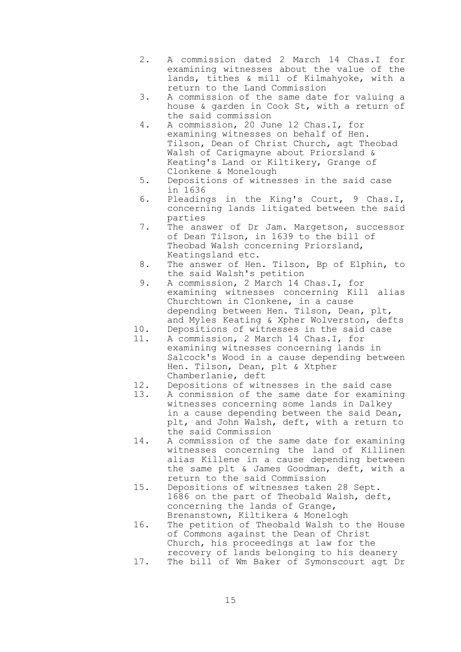- 2. A commission dated 2 March 14 Chas.I for examining witnesses about the value of the lands, tithes & mill of Kilmahyoke, with a return to the Land Commission
- 3. A commission of the same date for valuing a house & garden in Cook St, with a return of the said commission
- 4. A commission, 20 June 12 Chas.I, for examining witnesses on behalf of Hen. Tilson, Dean of Christ Church, agt Theobad Walsh of Carigmayne about Priorsland & Keating's Land or Kiltikery, Grange of Clonkene & Monelough
- 5. Depositions of witnesses in the said case in 1636
- 6. Pleadings in the King's Court, 9 Chas.I, concerning lands litigated between the said parties
- 7. The answer of Dr Jam. Margetson, successor of Dean Tilson, in 1639 to the bill of Theobad Walsh concerning Priorsland, Keatingsland etc.
- 8. The answer of Hen. Tilson, Bp of Elphin, to the said Walsh's petition
- 9. A commission, 2 March 14 Chas.I, for examining witnesses concerning Kill alias Churchtown in Clonkene, in a cause depending between Hen. Tilson, Dean, plt, and Myles Keating & Xpher Wolverston, defts
- 10. Depositions of witnesses in the said case
- 11. A commission, 2 March 14 Chas.I, for examining witnesses concerning lands in Salcock's Wood in a cause depending between Hen. Tilson, Dean, plt & Xtpher Chamberlanie, deft
- 12. Depositions of witnesses in the said case<br>13. A conmission of the same date for examini
- A conmission of the same date for examining witnesses concerning some lands in Dalkey in a cause depending between the said Dean, plt, and John Walsh, deft, with a return to the said Commission
- 14. A commission of the same date for examining witnesses concerning the land of Killinen alias Killene in a cause depending between the same plt & James Goodman, deft, with a return to the said Commission
- 15. Depositions of witnesses taken 28 Sept. 1686 on the part of Theobald Walsh, deft, concerning the lands of Grange, Brenanstown, Kiltikera & Monelogh
- 16. The petition of Theobald Walsh to the House of Commons against the Dean of Christ Church, his proceedings at law for the recovery of lands belonging to his deanery 17. The bill of Wm Baker of Symonscourt agt Dr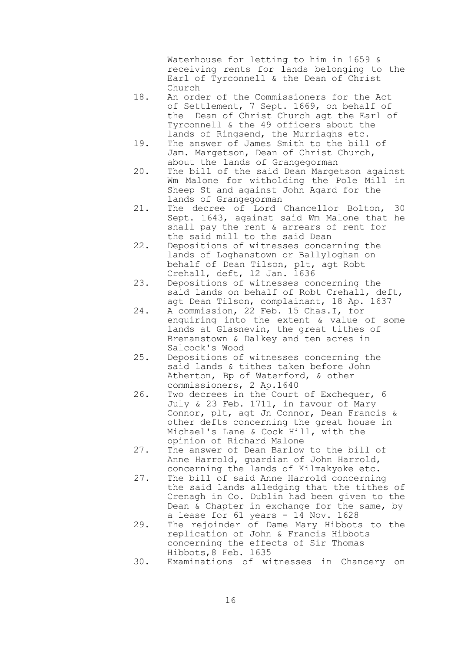Waterhouse for letting to him in 1659 & receiving rents for lands belonging to the Earl of Tyrconnell & the Dean of Christ Church

- 18. An order of the Commissioners for the Act of Settlement, 7 Sept. 1669, on behalf of the Dean of Christ Church agt the Earl of Tyrconnell & the 49 officers about the lands of Ringsend, the Murriaghs etc.
- 19. The answer of James Smith to the bill of Jam. Margetson, Dean of Christ Church, about the lands of Grangegorman
- 20. The bill of the said Dean Margetson against Wm Malone for witholding the Pole Mill in Sheep St and against John Agard for the lands of Grangegorman
- 21. The decree of Lord Chancellor Bolton, 30 Sept. 1643, against said Wm Malone that he shall pay the rent & arrears of rent for the said mill to the said Dean
- 22. Depositions of witnesses concerning the lands of Loghanstown or Ballyloghan on behalf of Dean Tilson, plt, agt Robt Crehall, deft, 12 Jan. 1636
- 23. Depositions of witnesses concerning the said lands on behalf of Robt Crehall, deft, agt Dean Tilson, complainant, 18 Ap. 1637
	- 24. A commission, 22 Feb. 15 Chas.I, for enquiring into the extent & value of some lands at Glasnevin, the great tithes of Brenanstown & Dalkey and ten acres in Salcock's Wood
	- 25. Depositions of witnesses concerning the said lands & tithes taken before John Atherton, Bp of Waterford, & other commissioners, 2 Ap.1640
	- 26. Two decrees in the Court of Exchequer, 6 July & 23 Feb. 1711, in favour of Mary Connor, plt, agt Jn Connor, Dean Francis & other defts concerning the great house in Michael's Lane & Cock Hill, with the opinion of Richard Malone
	- 27. The answer of Dean Barlow to the bill of Anne Harrold, guardian of John Harrold, concerning the lands of Kilmakyoke etc.
	- 27. The bill of said Anne Harrold concerning the said lands alledging that the tithes of Crenagh in Co. Dublin had been given to the Dean & Chapter in exchange for the same, by a lease for 61 years - 14 Nov. 1628
	- 29. The rejoinder of Dame Mary Hibbots to the replication of John & Francis Hibbots concerning the effects of Sir Thomas Hibbots,8 Feb. 1635
	- 30. Examinations of witnesses in Chancery on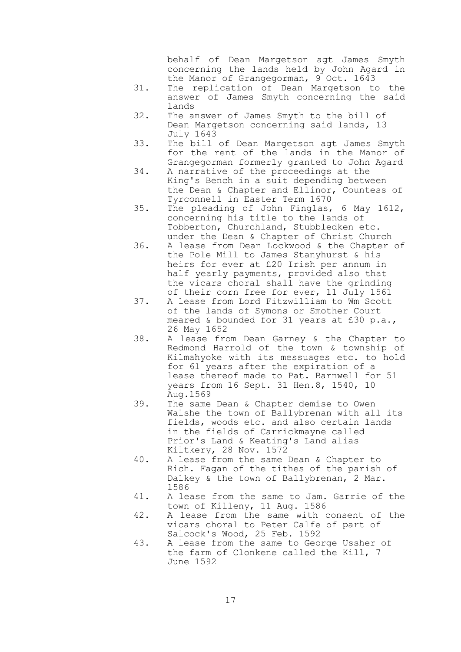behalf of Dean Margetson agt James Smyth concerning the lands held by John Agard in the Manor of Grangegorman, 9 Oct. 1643

- 31. The replication of Dean Margetson to the answer of James Smyth concerning the said lands
- 32. The answer of James Smyth to the bill of Dean Margetson concerning said lands, 13 July 1643
- 33. The bill of Dean Margetson agt James Smyth for the rent of the lands in the Manor of Grangegorman formerly granted to John Agard
- 34. A narrative of the proceedings at the King's Bench in a suit depending between the Dean & Chapter and Ellinor, Countess of Tyrconnell in Easter Term 1670
- 35. The pleading of John Finglas, 6 May 1612, concerning his title to the lands of Tobberton, Churchland, Stubbledken etc. under the Dean & Chapter of Christ Church
- 36. A lease from Dean Lockwood & the Chapter of the Pole Mill to James Stanyhurst & his heirs for ever at £20 Irish per annum in half yearly payments, provided also that the vicars choral shall have the grinding of their corn free for ever, 11 July 1561
- 37. A lease from Lord Fitzwilliam to Wm Scott of the lands of Symons or Smother Court meared & bounded for 31 years at £30 p.a., 26 May 1652
- 38. A lease from Dean Garney & the Chapter to Redmond Harrold of the town & township of Kilmahyoke with its messuages etc. to hold for 61 years after the expiration of a lease thereof made to Pat. Barnwell for 51 years from 16 Sept. 31 Hen.8, 1540, 10 Aug.1569
	- 39. The same Dean & Chapter demise to Owen Walshe the town of Ballybrenan with all its fields, woods etc. and also certain lands in the fields of Carrickmayne called Prior's Land & Keating's Land alias Kiltkery, 28 Nov. 1572
	- 40. A lease from the same Dean & Chapter to Rich. Fagan of the tithes of the parish of Dalkey & the town of Ballybrenan, 2 Mar. 1586
	- 41. A lease from the same to Jam. Garrie of the town of Killeny, 11 Aug. 1586
	- 42. A lease from the same with consent of the vicars choral to Peter Calfe of part of Salcock's Wood, 25 Feb. 1592
	- 43. A lease from the same to George Ussher of the farm of Clonkene called the Kill, 7 June 1592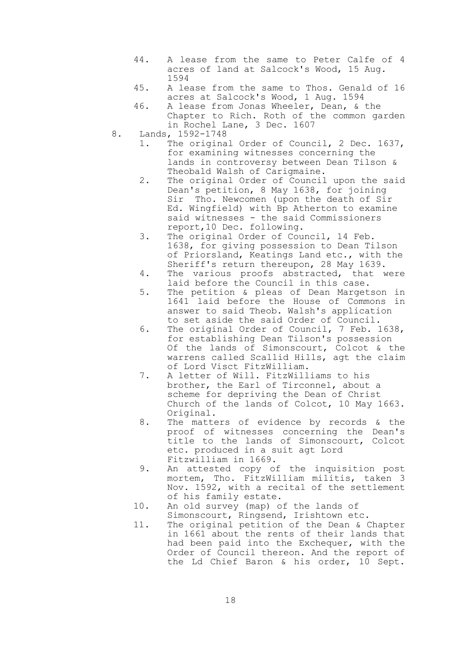- 44. A lease from the same to Peter Calfe of 4 acres of land at Salcock's Wood, 15 Aug. 1594
- 45. A lease from the same to Thos. Genald of 16 acres at Salcock's Wood, 1 Aug. 1594
- 46. A lease from Jonas Wheeler, Dean, & the Chapter to Rich. Roth of the common garden in Rochel Lane, 3 Dec. 1607
- 8. Lands, 1592-1748
	- 1. The original Order of Council, 2 Dec. 1637, for examining witnesses concerning the lands in controversy between Dean Tilson & Theobald Walsh of Carigmaine.
	- 2. The original Order of Council upon the said Dean's petition, 8 May 1638, for joining Sir Tho. Newcomen (upon the death of Sir Ed. Wingfield) with Bp Atherton to examine said witnesses - the said Commissioners report,10 Dec. following.
	- 3. The original Order of Council, 14 Feb. 1638, for giving possession to Dean Tilson of Priorsland, Keatings Land etc., with the Sheriff's return thereupon, 28 May 1639.
	- 4. The various proofs abstracted, that were laid before the Council in this case.
	- 5. The petition & pleas of Dean Margetson in 1641 laid before the House of Commons in answer to said Theob. Walsh's application to set aside the said Order of Council.
	- 6. The original Order of Council, 7 Feb. 1638, for establishing Dean Tilson's possession Of the lands of Simonscourt, Colcot & the warrens called Scallid Hills, agt the claim of Lord Visct FitzWilliam.
	- 7. A letter of Will. FitzWilliams to his brother, the Earl of Tirconnel, about a scheme for depriving the Dean of Christ Church of the lands of Colcot, 10 May 1663. Original.
	- 8. The matters of evidence by records & the proof of witnesses concerning the Dean's title to the lands of Simonscourt, Colcot etc. produced in a suit agt Lord Fitzwilliam in 1669.
	- 9. An attested copy of the inquisition post mortem, Tho. FitzWilliam militis, taken 3 Nov. 1592, with a recital of the settlement of his family estate.
	- 10. An old survey (map) of the lands of Simonscourt, Ringsend, Irishtown etc.
	- 11. The original petition of the Dean & Chapter in 1661 about the rents of their lands that had been paid into the Exchequer, with the Order of Council thereon. And the report of the Ld Chief Baron & his order, 10 Sept.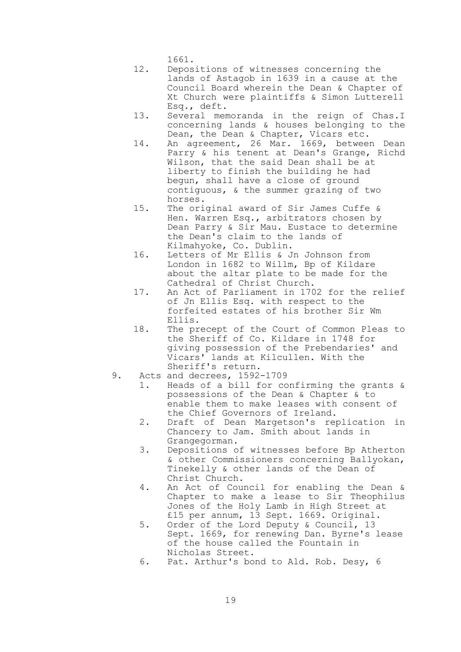1661.

- 12. Depositions of witnesses concerning the lands of Astagob in 1639 in a cause at the Council Board wherein the Dean & Chapter of Xt Church were plaintiffs & Simon Lutterell Esq., deft.
- 13. Several memoranda in the reign of Chas.I concerning lands & houses belonging to the Dean, the Dean & Chapter, Vicars etc.
- 14. An agreement, 26 Mar. 1669, between Dean Parry & his tenent at Dean's Grange, Richd Wilson, that the said Dean shall be at liberty to finish the building he had begun, shall have a close of ground contiguous, & the summer grazing of two horses.
- 15. The original award of Sir James Cuffe & Hen. Warren Esq., arbitrators chosen by Dean Parry & Sir Mau. Eustace to determine the Dean's claim to the lands of Kilmahyoke, Co. Dublin.
- 16. Letters of Mr Ellis & Jn Johnson from London in 1682 to Willm, Bp of Kildare about the altar plate to be made for the Cathedral of Christ Church.
- 17. An Act of Parliament in 1702 for the relief of Jn Ellis Esq. with respect to the forfeited estates of his brother Sir Wm Ellis.
- 18. The precept of the Court of Common Pleas to the Sheriff of Co. Kildare in 1748 for giving possession of the Prebendaries' and Vicars' lands at Kilcullen. With the Sheriff's return.
- 9. Acts and decrees, 1592-1709
	- 1. Heads of a bill for confirming the grants & possessions of the Dean & Chapter & to enable them to make leases with consent of the Chief Governors of Ireland.
	- 2. Draft of Dean Margetson's replication in Chancery to Jam. Smith about lands in Grangegorman.
	- 3. Depositions of witnesses before Bp Atherton & other Commissioners concerning Ballyokan, Tinekelly & other lands of the Dean of Christ Church.
	- 4. An Act of Council for enabling the Dean & Chapter to make a lease to Sir Theophilus Jones of the Holy Lamb in High Street at £15 per annum, 13 Sept. 1669. Original.
	- 5. Order of the Lord Deputy & Council, 13 Sept. 1669, for renewing Dan. Byrne's lease of the house called the Fountain in Nicholas Street.
	- 6. Pat. Arthur's bond to Ald. Rob. Desy, 6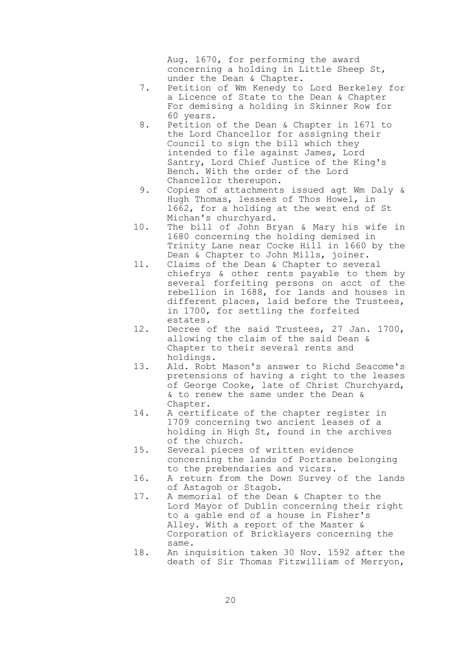Aug. 1670, for performing the award concerning a holding in Little Sheep St, under the Dean & Chapter.

- 7. Petition of Wm Kenedy to Lord Berkeley for a Licence of State to the Dean & Chapter For demising a holding in Skinner Row for 60 years.
- 8. Petition of the Dean & Chapter in 1671 to the Lord Chancellor for assigning their Council to sign the bill which they intended to file against James, Lord Santry, Lord Chief Justice of the King's Bench. With the order of the Lord Chancellor thereupon.
- 9. Copies of attachments issued agt Wm Daly & Hugh Thomas, lessees of Thos Howel, in 1662, for a holding at the west end of St Michan's churchyard.
- 10. The bill of John Bryan & Mary his wife in 1680 concerning the holding demised in Trinity Lane near Cocke Hill in 1660 by the Dean & Chapter to John Mills, joiner.
- 11. Claims of the Dean & Chapter to several chiefrys & other rents payable to them by several forfeiting persons on acct of the rebellion in 1688, for lands and houses in different places, laid before the Trustees, in 1700, for settling the forfeited estates.
- 12. Decree of the said Trustees, 27 Jan. 1700, allowing the claim of the said Dean & Chapter to their several rents and holdings.
- 13. Ald. Robt Mason's answer to Richd Seacome's pretensions of having a right to the leases of George Cooke, late of Christ Churchyard, & to renew the same under the Dean & Chapter.
- 14. A certificate of the chapter register in 1709 concerning two ancient leases of a holding in High St, found in the archives of the church.
- 15. Several pieces of written evidence concerning the lands of Portrane belonging to the prebendaries and vicars.
- 16. A return from the Down Survey of the lands of Astagob or Stagob.
- 17. A memorial of the Dean & Chapter to the Lord Mayor of Dublin concerning their right to a gable end of a house in Fisher's Alley. With a report of the Master & Corporation of Bricklayers concerning the same.
- 18. An inquisition taken 30 Nov. 1592 after the death of Sir Thomas Fitzwilliam of Merryon,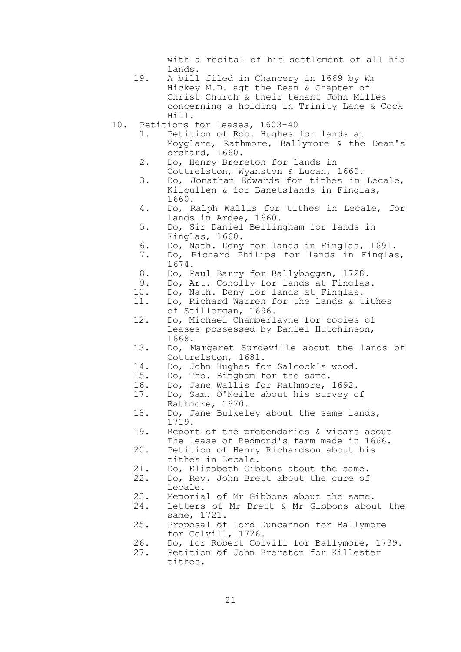with a recital of his settlement of all his lands.

- 19. A bill filed in Chancery in 1669 by Wm Hickey M.D. agt the Dean & Chapter of Christ Church & their tenant John Milles concerning a holding in Trinity Lane & Cock Hill.
- 10. Petitions for leases, 1603-40
	- 1. Petition of Rob. Hughes for lands at Moyglare, Rathmore, Ballymore & the Dean's orchard, 1660.
	- 2. Do, Henry Brereton for lands in Cottrelston, Wyanston & Lucan, 1660.
	- 3. Do, Jonathan Edwards for tithes in Lecale, Kilcullen & for Banetslands in Finglas, 1660.
	- 4. Do, Ralph Wallis for tithes in Lecale, for lands in Ardee, 1660.
	- 5. Do, Sir Daniel Bellingham for lands in Finglas, 1660.
	- 6. Do, Nath. Deny for lands in Finglas, 1691.
	- 7. Do, Richard Philips for lands in Finglas, 1674.
	- 8. Do, Paul Barry for Ballyboggan, 1728.
	- 9. Do, Art. Conolly for lands at Finglas.
	- 10. Do, Nath. Deny for lands at Finglas.
	- 11. Do, Richard Warren for the lands & tithes of Stillorgan, 1696.
	- 12. Do, Michael Chamberlayne for copies of Leases possessed by Daniel Hutchinson, 1668.
	- 13. Do, Margaret Surdeville about the lands of Cottrelston, 1681.
	- 14. Do, John Hughes for Salcock's wood.
	- 15. Do, Tho. Bingham for the same.
	- 16. Do, Jane Wallis for Rathmore, 1692.<br>17. Do, Sam. O'Neile about his survey o
	- Do, Sam. O'Neile about his survey of Rathmore, 1670.
	- 18. Do, Jane Bulkeley about the same lands, 1719.
	- 19. Report of the prebendaries & vicars about The lease of Redmond's farm made in 1666.
	- 20. Petition of Henry Richardson about his tithes in Lecale.
	- 21. Do, Elizabeth Gibbons about the same.
	- 22. Do, Rev. John Brett about the cure of Lecale.
	- 23. Memorial of Mr Gibbons about the same.
	- 24. Letters of Mr Brett & Mr Gibbons about the same, 1721.
	- 25. Proposal of Lord Duncannon for Ballymore for Colvill, 1726.
	- 26. Do, for Robert Colvill for Ballymore, 1739.
	- 27. Petition of John Brereton for Killester tithes.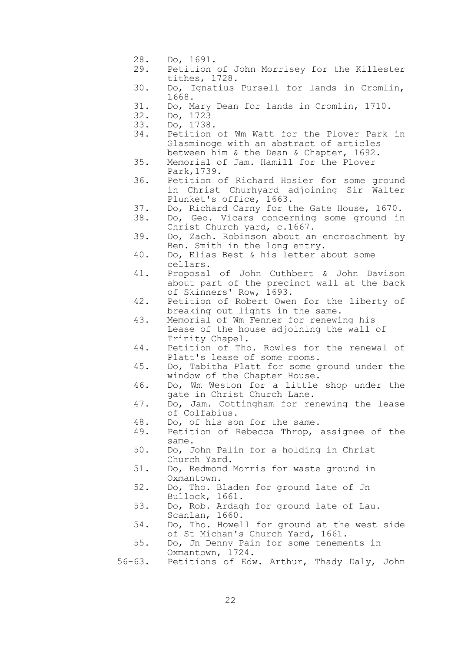- 28. Do, 1691.
- 29. Petition of John Morrisey for the Killester tithes, 1728.
- 30. Do, Ignatius Pursell for lands in Cromlin, 1668.
- 31. Do, Mary Dean for lands in Cromlin, 1710.
- 32. Do, 1723
- 33. Do, 1738.
- 34. Petition of Wm Watt for the Plover Park in Glasminoge with an abstract of articles between him & the Dean & Chapter, 1692.
- 35. Memorial of Jam. Hamill for the Plover Park,1739.
- 36. Petition of Richard Hosier for some ground in Christ Churhyard adjoining Sir Walter Plunket's office, 1663.
- 37. Do, Richard Carny for the Gate House, 1670.
	- 38. Do, Geo. Vicars concerning some ground in Christ Church yard, c.1667.
	- 39. Do, Zach. Robinson about an encroachment by Ben. Smith in the long entry.
	- 40. Do, Elias Best & his letter about some cellars.
	- 41. Proposal of John Cuthbert & John Davison about part of the precinct wall at the back of Skinners' Row, 1693.
	- 42. Petition of Robert Owen for the liberty of breaking out lights in the same.
	- 43. Memorial of Wm Fenner for renewing his Lease of the house adjoining the wall of Trinity Chapel.
	- 44. Petition of Tho. Rowles for the renewal of Platt's lease of some rooms.
	- 45. Do, Tabitha Platt for some ground under the window of the Chapter House.
	- 46. Do, Wm Weston for a little shop under the gate in Christ Church Lane.
	- 47. Do, Jam. Cottingham for renewing the lease of Colfabius.
	- 48. Do, of his son for the same.
	- 49. Petition of Rebecca Throp, assignee of the same.
	- 50. Do, John Palin for a holding in Christ Church Yard.
	- 51. Do, Redmond Morris for waste ground in Oxmantown.
	- 52. Do, Tho. Bladen for ground late of Jn Bullock, 1661.
	- 53. Do, Rob. Ardagh for ground late of Lau. Scanlan, 1660.
	- 54. Do, Tho. Howell for ground at the west side of St Michan's Church Yard, 1661.
	- 55. Do, Jn Denny Pain for some tenements in Oxmantown, 1724.
	- 56-63. Petitions of Edw. Arthur, Thady Daly, John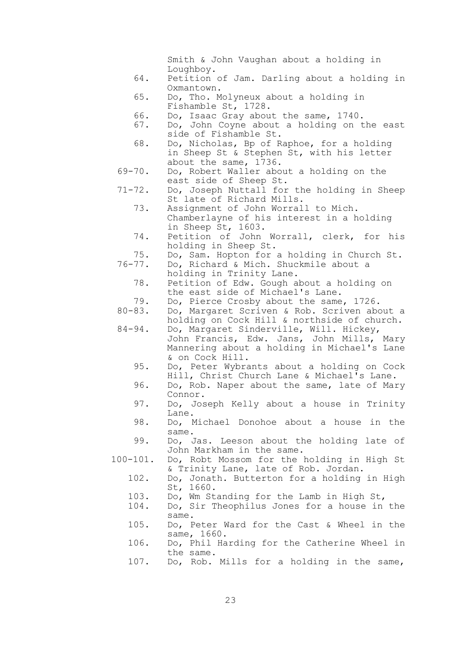Smith & John Vaughan about a holding in Loughboy. 64. Petition of Jam. Darling about a holding in Oxmantown. 65. Do, Tho. Molyneux about a holding in Fishamble St, 1728. 66. Do, Isaac Gray about the same, 1740. 67. Do, John Coyne about a holding on the east side of Fishamble St. 68. Do, Nicholas, Bp of Raphoe, for a holding in Sheep St & Stephen St, with his letter about the same, 1736. 69-70. Do, Robert Waller about a holding on the east side of Sheep St. 71-72. Do, Joseph Nuttall for the holding in Sheep St late of Richard Mills. 73. Assignment of John Worrall to Mich. Chamberlayne of his interest in a holding in Sheep St, 1603. 74. Petition of John Worrall, clerk, for his holding in Sheep St. 75. Do, Sam. Hopton for a holding in Church St. 76-77. Do, Richard & Mich. Shuckmile about a holding in Trinity Lane. 78. Petition of Edw. Gough about a holding on the east side of Michael's Lane. 79. Do, Pierce Crosby about the same, 1726. 80-83. Do, Margaret Scriven & Rob. Scriven about a holding on Cock Hill & northside of church. 84-94. Do, Margaret Sinderville, Will. Hickey, John Francis, Edw. Jans, John Mills, Mary Mannering about a holding in Michael's Lane & on Cock Hill. 95. Do, Peter Wybrants about a holding on Cock Hill, Christ Church Lane & Michael's Lane. 96. Do, Rob. Naper about the same, late of Mary Connor. 97. Do, Joseph Kelly about a house in Trinity Lane. 98. Do, Michael Donohoe about a house in the same. 99. Do, Jas. Leeson about the holding late of John Markham in the same. 100-101. Do, Robt Mossom for the holding in High St & Trinity Lane, late of Rob. Jordan. 102. Do, Jonath. Butterton for a holding in High St, 1660. 103. Do, Wm Standing for the Lamb in High St, 104. Do, Sir Theophilus Jones for a house in the same. 105. Do, Peter Ward for the Cast & Wheel in the same, 1660. 106. Do, Phil Harding for the Catherine Wheel in the same. 107. Do, Rob. Mills for a holding in the same,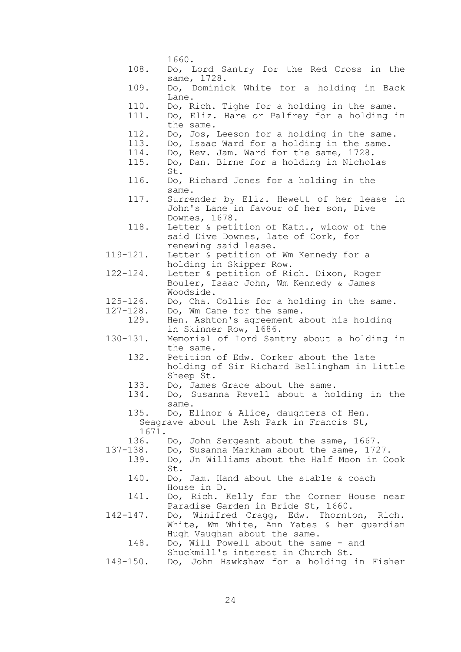|               | 1660.                                                                               |
|---------------|-------------------------------------------------------------------------------------|
| 108.          | Do, Lord Santry for the Red Cross in the                                            |
| 109.          | same, 1728.                                                                         |
|               | Do, Dominick White for a holding in Back<br>Lane.                                   |
| 110.          | Do, Rich. Tighe for a holding in the same.                                          |
| 111.          | Do, Eliz. Hare or Palfrey for a holding in                                          |
|               | the same.                                                                           |
| 112.<br>113.  | Do, Jos, Leeson for a holding in the same.                                          |
| 114.          | Do, Isaac Ward for a holding in the same.<br>Do, Rev. Jam. Ward for the same, 1728. |
| 115.          | Do, Dan. Birne for a holding in Nicholas                                            |
|               | St.                                                                                 |
| 116.          | Do, Richard Jones for a holding in the                                              |
|               | same.                                                                               |
| 117.          | Surrender by Eliz. Hewett of her lease in                                           |
|               | John's Lane in favour of her son, Dive<br>Downes, 1678.                             |
| 118.          | Letter & petition of Kath., widow of the                                            |
|               | said Dive Downes, late of Cork, for                                                 |
|               | renewing said lease.                                                                |
| $119 - 121.$  | Letter & petition of Wm Kennedy for a                                               |
|               | holding in Skipper Row.                                                             |
| $122 - 124$ . | Letter & petition of Rich. Dixon, Roger                                             |
|               | Bouler, Isaac John, Wm Kennedy & James                                              |
| $125 - 126$ . | Woodside.<br>Do, Cha. Collis for a holding in the same.                             |
| $127 - 128$ . | Do, Wm Cane for the same.                                                           |
| 129.          | Hen. Ashton's agreement about his holding                                           |
|               | in Skinner Row, 1686.                                                               |
| $130 - 131.$  | Memorial of Lord Santry about a holding in                                          |
| 132.          | the same.<br>Petition of Edw. Corker about the late                                 |
|               | holding of Sir Richard Bellingham in Little                                         |
|               | Sheep St.                                                                           |
| 133.          | Do, James Grace about the same.                                                     |
| 134.          | Do, Susanna Revell about a holding in the                                           |
|               | same.                                                                               |
| 135.          | Do, Elinor & Alice, daughters of Hen.                                               |
| 1671.         | Seagrave about the Ash Park in Francis St,                                          |
| 136.          | Do, John Sergeant about the same, 1667.                                             |
| $137 - 138$ . | Do, Susanna Markham about the same, 1727.                                           |
| 139.          | Do, Jn Williams about the Half Moon in Cook                                         |
|               | St.                                                                                 |
| 140.          | Do, Jam. Hand about the stable & coach                                              |
| 141.          | House in D.                                                                         |
|               | Do, Rich. Kelly for the Corner House near<br>Paradise Garden in Bride St, 1660.     |
| $142 - 147.$  | Do, Winifred Cragg, Edw. Thornton, Rich.                                            |
|               | White, Wm White, Ann Yates & her quardian                                           |
|               | Hugh Vaughan about the same.                                                        |
| 148.          | Do, Will Powell about the same - and                                                |
|               | Shuckmill's interest in Church St.                                                  |
| $149 - 150$ . | Do, John Hawkshaw for a holding in Fisher                                           |

24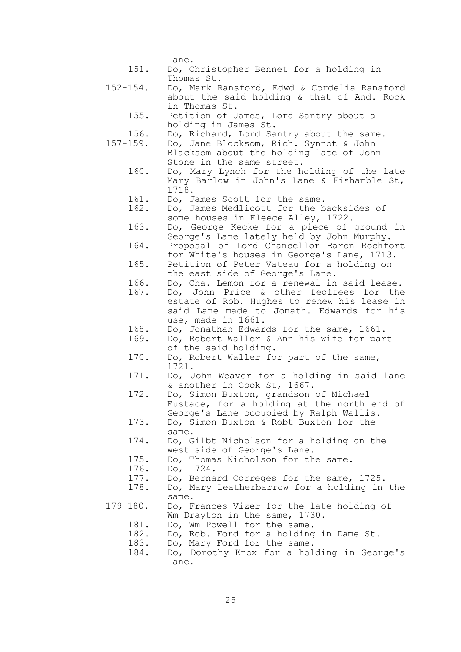Lane.

- 151. Do, Christopher Bennet for a holding in Thomas St.
- 152-154. Do, Mark Ransford, Edwd & Cordelia Ransford about the said holding & that of And. Rock in Thomas St.
	- 155. Petition of James, Lord Santry about a holding in James St.
- 156. Do, Richard, Lord Santry about the same.
- 157-159. Do, Jane Blocksom, Rich. Synnot & John Blacksom about the holding late of John Stone in the same street.
	- 160. Do, Mary Lynch for the holding of the late Mary Barlow in John's Lane & Fishamble St, 1718.
	- 161. Do, James Scott for the same.
	- 162. Do, James Medlicott for the backsides of some houses in Fleece Alley, 1722.
	- 163. Do, George Kecke for a piece of ground in George's Lane lately held by John Murphy.
	- 164. Proposal of Lord Chancellor Baron Rochfort for White's houses in George's Lane, 1713.
	- 165. Petition of Peter Vateau for a holding on the east side of George's Lane.
	- 166. Do, Cha. Lemon for a renewal in said lease.
	- 167. Do, John Price & other feoffees for the estate of Rob. Hughes to renew his lease in said Lane made to Jonath. Edwards for his use, made in 1661.
	- 168. Do, Jonathan Edwards for the same, 1661.
	- 169. Do, Robert Waller & Ann his wife for part of the said holding.
	- 170. Do, Robert Waller for part of the same, 1721.
	- 171. Do, John Weaver for a holding in said lane & another in Cook St, 1667.
	- 172. Do, Simon Buxton, grandson of Michael Eustace, for a holding at the north end of George's Lane occupied by Ralph Wallis.
	- 173. Do, Simon Buxton & Robt Buxton for the same.
	- 174. Do, Gilbt Nicholson for a holding on the west side of George's Lane.
	- 175. Do, Thomas Nicholson for the same.
	- 176. Do, 1724.
	- 177. Do, Bernard Correges for the same, 1725.<br>178. Do, Mary Leatherbarrow for a holding in
	- Do, Mary Leatherbarrow for a holding in the same.
- 179-180. Do, Frances Vizer for the late holding of Wm Drayton in the same, 1730.
	- 181. Do, Wm Powell for the same.
	- 182. Do, Rob. Ford for a holding in Dame St.
	- 183. Do, Mary Ford for the same.
	- 184. Do, Dorothy Knox for a holding in George's Lane.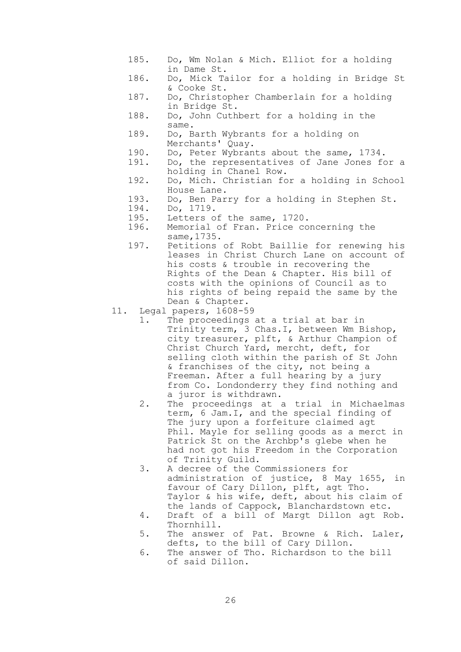- 185. Do, Wm Nolan & Mich. Elliot for a holding in Dame St.
- 186. Do, Mick Tailor for a holding in Bridge St & Cooke St.
- 187. Do, Christopher Chamberlain for a holding in Bridge St.
- 188. Do, John Cuthbert for a holding in the same.
- 189. Do, Barth Wybrants for a holding on Merchants' Quay.
- 190. Do, Peter Wybrants about the same, 1734.
- 191. Do, the representatives of Jane Jones for a holding in Chanel Row.
- 192. Do, Mich. Christian for a holding in School House Lane.
- 193. Do, Ben Parry for a holding in Stephen St.
- 194. Do, 1719.
- 195. Letters of the same, 1720.
- 196. Memorial of Fran. Price concerning the same,1735.
- 197. Petitions of Robt Baillie for renewing his leases in Christ Church Lane on account of his costs & trouble in recovering the Rights of the Dean & Chapter. His bill of costs with the opinions of Council as to his rights of being repaid the same by the Dean & Chapter.
- 11. Legal papers, 1608-59
	- 1. The proceedings at a trial at bar in Trinity term, 3 Chas.I, between Wm Bishop, city treasurer, plft, & Arthur Champion of Christ Church Yard, mercht, deft, for selling cloth within the parish of St John & franchises of the city, not being a Freeman. After a full hearing by a jury from Co. Londonderry they find nothing and a juror is withdrawn.
		- 2. The proceedings at a trial in Michaelmas term, 6 Jam.I, and the special finding of The jury upon a forfeiture claimed agt Phil. Mayle for selling goods as a merct in Patrick St on the Archbp's glebe when he had not got his Freedom in the Corporation of Trinity Guild.
		- 3. A decree of the Commissioners for administration of justice, 8 May 1655, in favour of Cary Dillon, plft, agt Tho. Taylor & his wife, deft, about his claim of the lands of Cappock, Blanchardstown etc.
		- 4. Draft of a bill of Margt Dillon agt Rob. Thornhill.
		- 5. The answer of Pat. Browne & Rich. Laler, defts, to the bill of Cary Dillon.
		- 6. The answer of Tho. Richardson to the bill of said Dillon.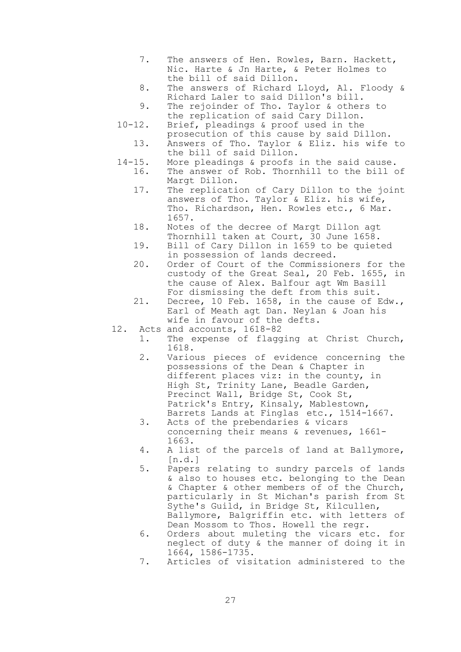- 7. The answers of Hen. Rowles, Barn. Hackett, Nic. Harte & Jn Harte, & Peter Holmes to the bill of said Dillon.
- 8. The answers of Richard Lloyd, Al. Floody & Richard Laler to said Dillon's bill.
- 9. The rejoinder of Tho. Taylor & others to the replication of said Cary Dillon.
- 10-12. Brief, pleadings & proof used in the prosecution of this cause by said Dillon. 13. Answers of Tho. Taylor & Eliz. his wife to the bill of said Dillon.
- 14-15. More pleadings & proofs in the said cause. 16. The answer of Rob. Thornhill to the bill of Margt Dillon.
	- 17. The replication of Cary Dillon to the joint answers of Tho. Taylor & Eliz. his wife, Tho. Richardson, Hen. Rowles etc., 6 Mar. 1657.
	- 18. Notes of the decree of Margt Dillon agt Thornhill taken at Court, 30 June 1658.
	- 19. Bill of Cary Dillon in 1659 to be quieted in possession of lands decreed.
	- 20. Order of Court of the Commissioners for the custody of the Great Seal, 20 Feb. 1655, in the cause of Alex. Balfour agt Wm Basill For dismissing the deft from this suit.
	- 21. Decree, 10 Feb. 1658, in the cause of Edw., Earl of Meath agt Dan. Neylan & Joan his wife in favour of the defts.
- 12. Acts and accounts, 1618-82
	- 1. The expense of flagging at Christ Church, 1618.
	- 2. Various pieces of evidence concerning the possessions of the Dean & Chapter in different places viz: in the county, in High St, Trinity Lane, Beadle Garden, Precinct Wall, Bridge St, Cook St, Patrick's Entry, Kinsaly, Mablestown, Barrets Lands at Finglas etc., 1514-1667.
	- 3. Acts of the prebendaries & vicars concerning their means & revenues, 1661- 1663.
	- 4. A list of the parcels of land at Ballymore, [n.d.]
	- 5. Papers relating to sundry parcels of lands & also to houses etc. belonging to the Dean & Chapter & other members of of the Church, particularly in St Michan's parish from St Sythe's Guild, in Bridge St, Kilcullen, Ballymore, Balgriffin etc. with letters of Dean Mossom to Thos. Howell the regr.
	- 6. Orders about muleting the vicars etc. for neglect of duty & the manner of doing it in 1664, 1586-1735.
	- 7. Articles of visitation administered to the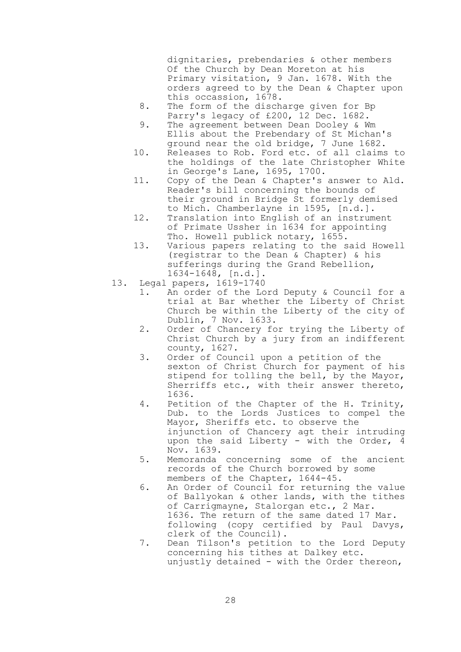dignitaries, prebendaries & other members Of the Church by Dean Moreton at his Primary visitation, 9 Jan. 1678. With the orders agreed to by the Dean & Chapter upon this occassion, 1678.

- 8. The form of the discharge given for Bp Parry's legacy of £200, 12 Dec. 1682.
- 9. The agreement between Dean Dooley & Wm Ellis about the Prebendary of St Michan's ground near the old bridge, 7 June 1682.
- 10. Releases to Rob. Ford etc. of all claims to the holdings of the late Christopher White in George's Lane, 1695, 1700.
- 11. Copy of the Dean & Chapter's answer to Ald. Reader's bill concerning the bounds of their ground in Bridge St formerly demised to Mich. Chamberlayne in 1595, [n.d.].
- 12. Translation into English of an instrument of Primate Ussher in 1634 for appointing Tho. Howell publick notary, 1655.
- 13. Various papers relating to the said Howell (registrar to the Dean & Chapter) & his sufferings during the Grand Rebellion, 1634-1648, [n.d.].
- 13. Legal papers, 1619-1740
	- 1. An order of the Lord Deputy & Council for a trial at Bar whether the Liberty of Christ Church be within the Liberty of the city of Dublin, 7 Nov. 1633.
		- 2. Order of Chancery for trying the Liberty of Christ Church by a jury from an indifferent county, 1627.
		- 3. Order of Council upon a petition of the sexton of Christ Church for payment of his stipend for tolling the bell, by the Mayor, Sherriffs etc., with their answer thereto, 1636.
		- 4. Petition of the Chapter of the H. Trinity, Dub. to the Lords Justices to compel the Mayor, Sheriffs etc. to observe the injunction of Chancery agt their intruding upon the said Liberty - with the Order, 4 Nov. 1639.
		- 5. Memoranda concerning some of the ancient records of the Church borrowed by some members of the Chapter, 1644-45.
		- 6. An Order of Council for returning the value of Ballyokan & other lands, with the tithes of Carrigmayne, Stalorgan etc., 2 Mar. 1636. The return of the same dated 17 Mar. following (copy certified by Paul Davys, clerk of the Council).
		- 7. Dean Tilson's petition to the Lord Deputy concerning his tithes at Dalkey etc. unjustly detained - with the Order thereon,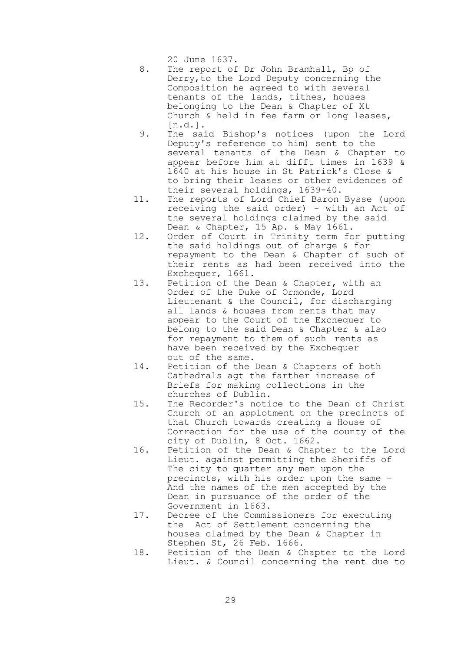20 June 1637.

- 8. The report of Dr John Bramhall, Bp of Derry,to the Lord Deputy concerning the Composition he agreed to with several tenants of the lands, tithes, houses belonging to the Dean & Chapter of Xt Church & held in fee farm or long leases, [n.d.].
- 9. The said Bishop's notices (upon the Lord Deputy's reference to him) sent to the several tenants of the Dean & Chapter to appear before him at difft times in 1639 & 1640 at his house in St Patrick's Close & to bring their leases or other evidences of their several holdings, 1639-40.
- 11. The reports of Lord Chief Baron Bysse (upon receiving the said order) - with an Act of the several holdings claimed by the said Dean & Chapter, 15 Ap. & May 1661.
- 12. Order of Court in Trinity term for putting the said holdings out of charge & for repayment to the Dean & Chapter of such of their rents as had been received into the Exchequer, 1661.
- 13. Petition of the Dean & Chapter, with an Order of the Duke of Ormonde, Lord Lieutenant & the Council, for discharging all lands & houses from rents that may appear to the Court of the Exchequer to belong to the said Dean & Chapter & also for repayment to them of such rents as have been received by the Exchequer out of the same.
- 14. Petition of the Dean & Chapters of both Cathedrals agt the farther increase of Briefs for making collections in the churches of Dublin.
- 15. The Recorder's notice to the Dean of Christ Church of an applotment on the precincts of that Church towards creating a House of Correction for the use of the county of the city of Dublin, 8 Oct. 1662.
- 16. Petition of the Dean & Chapter to the Lord Lieut. against permitting the Sheriffs of The city to quarter any men upon the precincts, with his order upon the same – And the names of the men accepted by the Dean in pursuance of the order of the Government in 1663.
- 17. Decree of the Commissioners for executing the Act of Settlement concerning the houses claimed by the Dean & Chapter in Stephen St, 26 Feb. 1666.
- 18. Petition of the Dean & Chapter to the Lord Lieut. & Council concerning the rent due to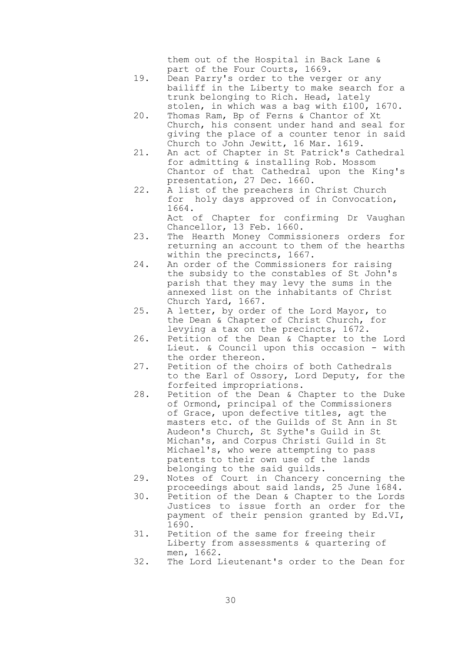them out of the Hospital in Back Lane & part of the Four Courts, 1669.

- 19. Dean Parry's order to the verger or any bailiff in the Liberty to make search for a trunk belonging to Rich. Head, lately stolen, in which was a bag with £100, 1670.
- 20. Thomas Ram, Bp of Ferns & Chantor of Xt Church, his consent under hand and seal for giving the place of a counter tenor in said Church to John Jewitt, 16 Mar. 1619.
- 21. An act of Chapter in St Patrick's Cathedral for admitting & installing Rob. Mossom Chantor of that Cathedral upon the King's presentation, 27 Dec. 1660.
- 22. A list of the preachers in Christ Church for holy days approved of in Convocation, 1664.

 Act of Chapter for confirming Dr Vaughan Chancellor, 13 Feb. 1660.

- 23. The Hearth Money Commissioners orders for returning an account to them of the hearths within the precincts, 1667.
- 24. An order of the Commissioners for raising the subsidy to the constables of St John's parish that they may levy the sums in the annexed list on the inhabitants of Christ Church Yard, 1667.
- 25. A letter, by order of the Lord Mayor, to the Dean & Chapter of Christ Church, for levying a tax on the precincts, 1672.
- 26. Petition of the Dean & Chapter to the Lord Lieut. & Council upon this occasion - with the order thereon.
- 27. Petition of the choirs of both Cathedrals to the Earl of Ossory, Lord Deputy, for the forfeited impropriations.
- 28. Petition of the Dean & Chapter to the Duke of Ormond, principal of the Commissioners of Grace, upon defective titles, agt the masters etc. of the Guilds of St Ann in St Audeon's Church, St Sythe's Guild in St Michan's, and Corpus Christi Guild in St Michael's, who were attempting to pass patents to their own use of the lands belonging to the said guilds.
- 29. Notes of Court in Chancery concerning the proceedings about said lands, 25 June 1684.
- 30. Petition of the Dean & Chapter to the Lords Justices to issue forth an order for the payment of their pension granted by Ed.VI, 1690.
- 31. Petition of the same for freeing their Liberty from assessments & quartering of men, 1662.
- 32. The Lord Lieutenant's order to the Dean for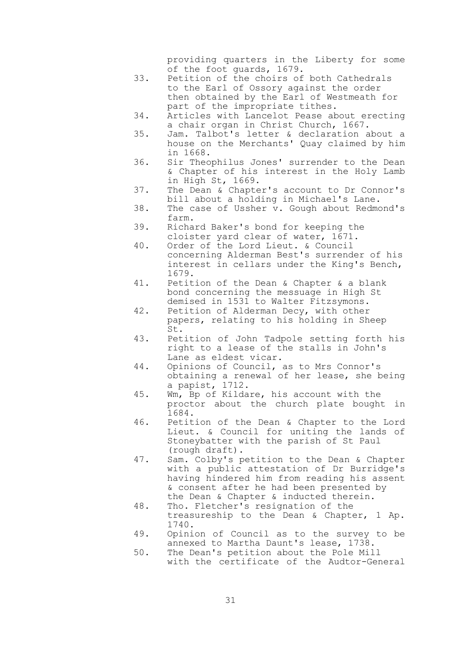providing quarters in the Liberty for some of the foot guards, 1679.

- 33. Petition of the choirs of both Cathedrals to the Earl of Ossory against the order then obtained by the Earl of Westmeath for part of the impropriate tithes.
- 34. Articles with Lancelot Pease about erecting a chair organ in Christ Church, 1667.
- 35. Jam. Talbot's letter & declaration about a house on the Merchants' Quay claimed by him in 1668.
	- 36. Sir Theophilus Jones' surrender to the Dean & Chapter of his interest in the Holy Lamb in High St, 1669.
	- 37. The Dean & Chapter's account to Dr Connor's bill about a holding in Michael's Lane.
	- 38. The case of Ussher v. Gough about Redmond's farm.
	- 39. Richard Baker's bond for keeping the cloister yard clear of water, 1671.
	- 40. Order of the Lord Lieut. & Council concerning Alderman Best's surrender of his interest in cellars under the King's Bench, 1679.
	- 41. Petition of the Dean & Chapter & a blank bond concerning the messuage in High St demised in 1531 to Walter Fitzsymons.
	- 42. Petition of Alderman Decy, with other papers, relating to his holding in Sheep St.
	- 43. Petition of John Tadpole setting forth his right to a lease of the stalls in John's Lane as eldest vicar.
	- 44. Opinions of Council, as to Mrs Connor's obtaining a renewal of her lease, she being a papist, 1712.
	- 45. Wm, Bp of Kildare, his account with the proctor about the church plate bought in 1684.
	- 46. Petition of the Dean & Chapter to the Lord Lieut. & Council for uniting the lands of Stoneybatter with the parish of St Paul (rough draft).
	- 47. Sam. Colby's petition to the Dean & Chapter with a public attestation of Dr Burridge's having hindered him from reading his assent & consent after he had been presented by the Dean & Chapter & inducted therein.
	- 48. Tho. Fletcher's resignation of the treasureship to the Dean & Chapter, 1 Ap. 1740.
	- 49. Opinion of Council as to the survey to be annexed to Martha Daunt's lease, 1738.
	- 50. The Dean's petition about the Pole Mill with the certificate of the Audtor-General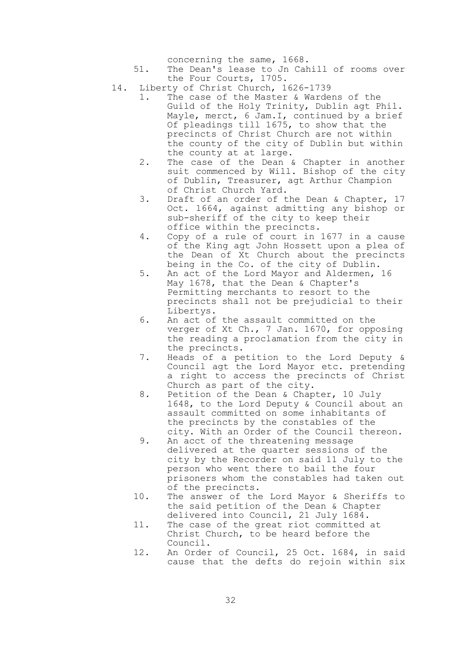concerning the same, 1668.

- 51. The Dean's lease to Jn Cahill of rooms over the Four Courts, 1705.
- 14. Liberty of Christ Church, 1626-1739
	- 1. The case of the Master & Wardens of the Guild of the Holy Trinity, Dublin agt Phil. Mayle, merct, 6 Jam. I, continued by a brief Of pleadings till 1675, to show that the precincts of Christ Church are not within the county of the city of Dublin but within the county at at large.
	- 2. The case of the Dean & Chapter in another suit commenced by Will. Bishop of the city of Dublin, Treasurer, agt Arthur Champion of Christ Church Yard.
	- 3. Draft of an order of the Dean & Chapter, 17 Oct. 1664, against admitting any bishop or sub-sheriff of the city to keep their office within the precincts.
	- 4. Copy of a rule of court in 1677 in a cause of the King agt John Hossett upon a plea of the Dean of Xt Church about the precincts being in the Co. of the city of Dublin.
	- 5. An act of the Lord Mayor and Aldermen, 16 May 1678, that the Dean & Chapter's Permitting merchants to resort to the precincts shall not be prejudicial to their Libertys.
	- 6. An act of the assault committed on the verger of Xt Ch., 7 Jan. 1670, for opposing the reading a proclamation from the city in the precincts.
	- 7. Heads of a petition to the Lord Deputy & Council agt the Lord Mayor etc. pretending a right to access the precincts of Christ Church as part of the city.
	- 8. Petition of the Dean & Chapter, 10 July 1648, to the Lord Deputy & Council about an assault committed on some inhabitants of the precincts by the constables of the city. With an Order of the Council thereon.
	- 9. An acct of the threatening message delivered at the quarter sessions of the city by the Recorder on said 11 July to the person who went there to bail the four prisoners whom the constables had taken out of the precincts.
	- 10. The answer of the Lord Mayor & Sheriffs to the said petition of the Dean & Chapter delivered into Council, 21 July 1684.
	- 11. The case of the great riot committed at Christ Church, to be heard before the Council.
	- 12. An Order of Council, 25 Oct. 1684, in said cause that the defts do rejoin within six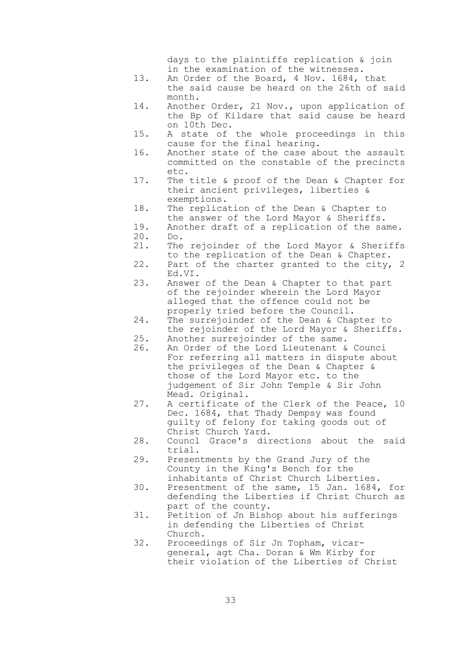days to the plaintiffs replication & join in the examination of the witnesses.

- 13. An Order of the Board, 4 Nov. 1684, that the said cause be heard on the 26th of said month.
- 14. Another Order, 21 Nov., upon application of the Bp of Kildare that said cause be heard on 10th Dec.
- 15. A state of the whole proceedings in this cause for the final hearing.
- 16. Another state of the case about the assault committed on the constable of the precincts etc.
- 17. The title & proof of the Dean & Chapter for their ancient privileges, liberties & exemptions.
- 18. The replication of the Dean & Chapter to the answer of the Lord Mayor & Sheriffs.
- 19. Another draft of a replication of the same. 20. Do.
- 21. The rejoinder of the Lord Mayor & Sheriffs to the replication of the Dean & Chapter.
- 22. Part of the charter granted to the city, 2 Ed.VI.
- 23. Answer of the Dean & Chapter to that part of the rejoinder wherein the Lord Mayor alleged that the offence could not be properly tried before the Council.
- 24. The surrejoinder of the Dean & Chapter to the rejoinder of the Lord Mayor & Sheriffs.
- 25. Another surrejoinder of the same.
- 26. An Order of the Lord Lieutenant & Counci For referring all matters in dispute about the privileges of the Dean & Chapter & those of the Lord Mayor etc. to the judgement of Sir John Temple & Sir John Mead. Original.
- 27. A certificate of the Clerk of the Peace, 10 Dec. 1684, that Thady Dempsy was found guilty of felony for taking goods out of Christ Church Yard.
- 28. Councl Grace's directions about the said trial.
- 29. Presentments by the Grand Jury of the County in the King's Bench for the inhabitants of Christ Church Liberties.
- 30. Presentment of the same, 15 Jan. 1684, for defending the Liberties if Christ Church as part of the county.
- 31. Petition of Jn Bishop about his sufferings in defending the Liberties of Christ Church.
- 32. Proceedings of Sir Jn Topham, vicargeneral, agt Cha. Doran & Wm Kirby for their violation of the Liberties of Christ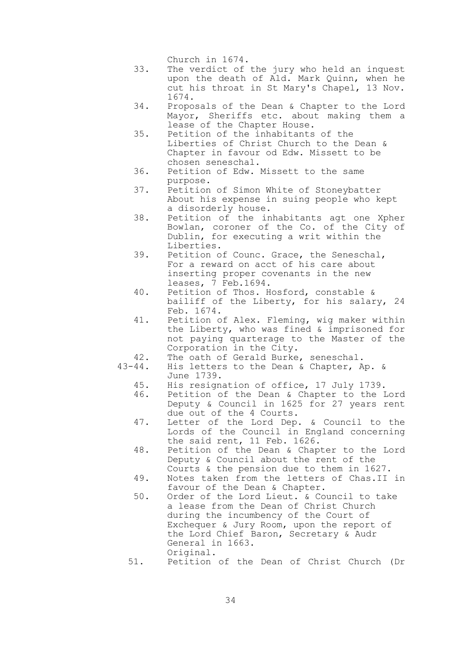Church in 1674.

- 33. The verdict of the jury who held an inquest upon the death of Ald. Mark Quinn, when he cut his throat in St Mary's Chapel, 13 Nov. 1674.
- 34. Proposals of the Dean & Chapter to the Lord Mayor, Sheriffs etc. about making them a lease of the Chapter House.
- 35. Petition of the inhabitants of the Liberties of Christ Church to the Dean & Chapter in favour od Edw. Missett to be chosen seneschal.
- 36. Petition of Edw. Missett to the same purpose.
- 37. Petition of Simon White of Stoneybatter About his expense in suing people who kept a disorderly house.
- 38. Petition of the inhabitants agt one Xpher Bowlan, coroner of the Co. of the City of Dublin, for executing a writ within the Liberties.
- 39. Petition of Counc. Grace, the Seneschal, For a reward on acct of his care about inserting proper covenants in the new leases, 7 Feb.1694.
- 40. Petition of Thos. Hosford, constable & bailiff of the Liberty, for his salary, 24 Feb. 1674.
- 41. Petition of Alex. Fleming, wig maker within the Liberty, who was fined & imprisoned for not paying quarterage to the Master of the Corporation in the City.
- 42. The oath of Gerald Burke, seneschal.
- 43-44. His letters to the Dean & Chapter, Ap. & June 1739.
	- 45. His resignation of office, 17 July 1739.
	- 46. Petition of the Dean & Chapter to the Lord Deputy & Council in 1625 for 27 years rent due out of the 4 Courts.
	- 47. Letter of the Lord Dep. & Council to the Lords of the Council in England concerning the said rent, 11 Feb. 1626.
	- 48. Petition of the Dean & Chapter to the Lord Deputy & Council about the rent of the Courts & the pension due to them in 1627.
	- 49. Notes taken from the letters of Chas.II in favour of the Dean & Chapter.
	- 50. Order of the Lord Lieut. & Council to take a lease from the Dean of Christ Church during the incumbency of the Court of Exchequer & Jury Room, upon the report of the Lord Chief Baron, Secretary & Audr General in 1663. Original.
	- 51. Petition of the Dean of Christ Church (Dr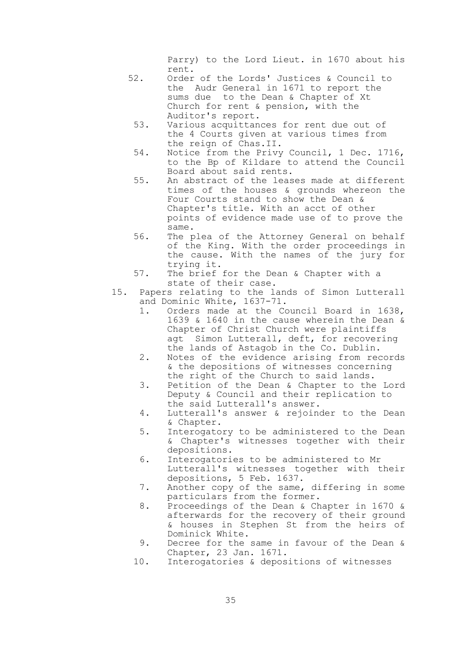Parry) to the Lord Lieut. in 1670 about his rent.

- 52. Order of the Lords' Justices & Council to the Audr General in 1671 to report the sums due to the Dean & Chapter of Xt Church for rent & pension, with the Auditor's report.
	- 53. Various acquittances for rent due out of the 4 Courts given at various times from the reign of Chas.II.
- 54. Notice from the Privy Council, 1 Dec. 1716, to the Bp of Kildare to attend the Council Board about said rents.
- 55. An abstract of the leases made at different times of the houses & grounds whereon the Four Courts stand to show the Dean & Chapter's title. With an acct of other points of evidence made use of to prove the same.
- 56. The plea of the Attorney General on behalf of the King. With the order proceedings in the cause. With the names of the jury for trying it.
- 57. The brief for the Dean & Chapter with a state of their case.
- 15. Papers relating to the lands of Simon Lutterall and Dominic White, 1637-71.
	- 1. Orders made at the Council Board in 1638, 1639 & 1640 in the cause wherein the Dean & Chapter of Christ Church were plaintiffs agt Simon Lutterall, deft, for recovering the lands of Astagob in the Co. Dublin.
	- 2. Notes of the evidence arising from records & the depositions of witnesses concerning the right of the Church to said lands.
	- 3. Petition of the Dean & Chapter to the Lord Deputy & Council and their replication to the said Lutterall's answer.
	- 4. Lutterall's answer & rejoinder to the Dean & Chapter.
	- 5. Interogatory to be administered to the Dean & Chapter's witnesses together with their depositions.
	- 6. Interogatories to be administered to Mr Lutterall's witnesses together with their depositions, 5 Feb. 1637.
	- 7. Another copy of the same, differing in some particulars from the former.
	- 8. Proceedings of the Dean & Chapter in 1670 & afterwards for the recovery of their ground & houses in Stephen St from the heirs of Dominick White.
	- 9. Decree for the same in favour of the Dean & Chapter, 23 Jan. 1671.
	- 10. Interogatories & depositions of witnesses